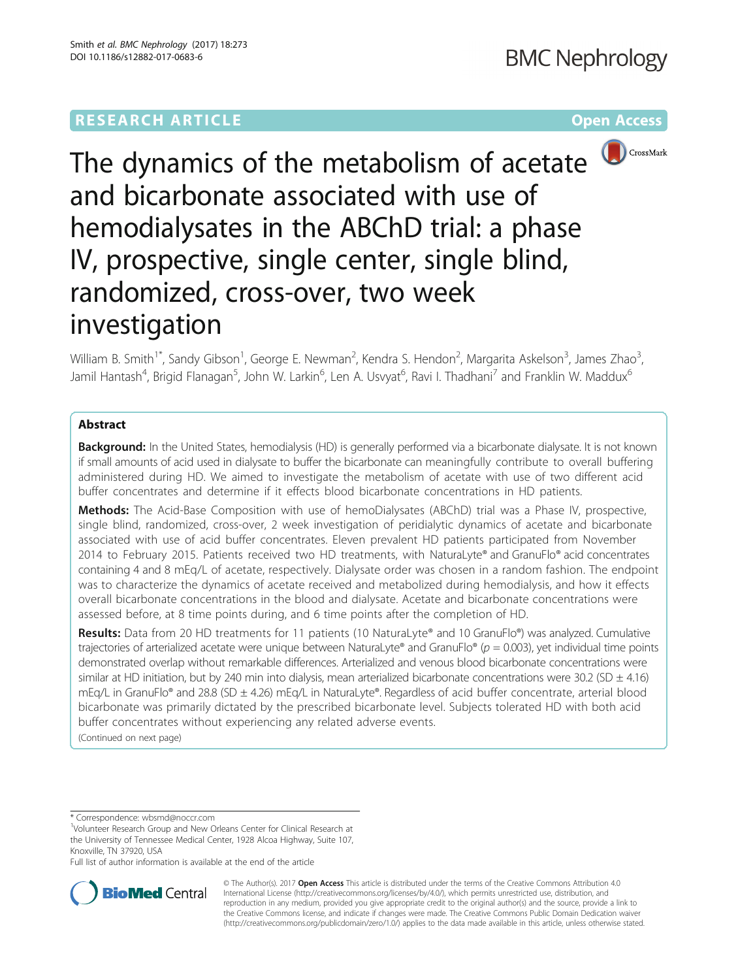## **RESEARCH ARTICLE External Structure of the Community Community Community Community Community Community Community**



The dynamics of the metabolism of acetate and bicarbonate associated with use of hemodialysates in the ABChD trial: a phase IV, prospective, single center, single blind, randomized, cross-over, two week investigation

William B. Smith<sup>1\*</sup>, Sandy Gibson<sup>1</sup>, George E. Newman<sup>2</sup>, Kendra S. Hendon<sup>2</sup>, Margarita Askelson<sup>3</sup>, James Zhao<sup>3</sup> , Jamil Hantash<sup>4</sup>, Brigid Flanagan<sup>5</sup>, John W. Larkin<sup>6</sup>, Len A. Usvyat<sup>6</sup>, Ravi I. Thadhani<sup>7</sup> and Franklin W. Maddux<sup>6</sup>

## Abstract

**Background:** In the United States, hemodialysis (HD) is generally performed via a bicarbonate dialysate. It is not known if small amounts of acid used in dialysate to buffer the bicarbonate can meaningfully contribute to overall buffering administered during HD. We aimed to investigate the metabolism of acetate with use of two different acid buffer concentrates and determine if it effects blood bicarbonate concentrations in HD patients.

Methods: The Acid-Base Composition with use of hemoDialysates (ABChD) trial was a Phase IV, prospective, single blind, randomized, cross-over, 2 week investigation of peridialytic dynamics of acetate and bicarbonate associated with use of acid buffer concentrates. Eleven prevalent HD patients participated from November 2014 to February 2015. Patients received two HD treatments, with NaturaLyte® and GranuFlo® acid concentrates containing 4 and 8 mEq/L of acetate, respectively. Dialysate order was chosen in a random fashion. The endpoint was to characterize the dynamics of acetate received and metabolized during hemodialysis, and how it effects overall bicarbonate concentrations in the blood and dialysate. Acetate and bicarbonate concentrations were assessed before, at 8 time points during, and 6 time points after the completion of HD.

Results: Data from 20 HD treatments for 11 patients (10 NaturaLyte® and 10 GranuFlo®) was analyzed. Cumulative trajectories of arterialized acetate were unique between NaturaLyte® and GranuFlo® ( $p = 0.003$ ), yet individual time points demonstrated overlap without remarkable differences. Arterialized and venous blood bicarbonate concentrations were similar at HD initiation, but by 240 min into dialysis, mean arterialized bicarbonate concentrations were 30.2 (SD  $\pm$  4.16) mEq/L in GranuFlo® and 28.8 (SD ± 4.26) mEq/L in NaturaLyte®. Regardless of acid buffer concentrate, arterial blood bicarbonate was primarily dictated by the prescribed bicarbonate level. Subjects tolerated HD with both acid buffer concentrates without experiencing any related adverse events.

(Continued on next page)

\* Correspondence: [wbsmd@noccr.com](mailto:wbsmd@noccr.com) <sup>1</sup>

<sup>1</sup>Volunteer Research Group and New Orleans Center for Clinical Research at the University of Tennessee Medical Center, 1928 Alcoa Highway, Suite 107, Knoxville, TN 37920, USA

Full list of author information is available at the end of the article



© The Author(s). 2017 **Open Access** This article is distributed under the terms of the Creative Commons Attribution 4.0 International License [\(http://creativecommons.org/licenses/by/4.0/](http://creativecommons.org/licenses/by/4.0/)), which permits unrestricted use, distribution, and reproduction in any medium, provided you give appropriate credit to the original author(s) and the source, provide a link to the Creative Commons license, and indicate if changes were made. The Creative Commons Public Domain Dedication waiver [\(http://creativecommons.org/publicdomain/zero/1.0/](http://creativecommons.org/publicdomain/zero/1.0/)) applies to the data made available in this article, unless otherwise stated.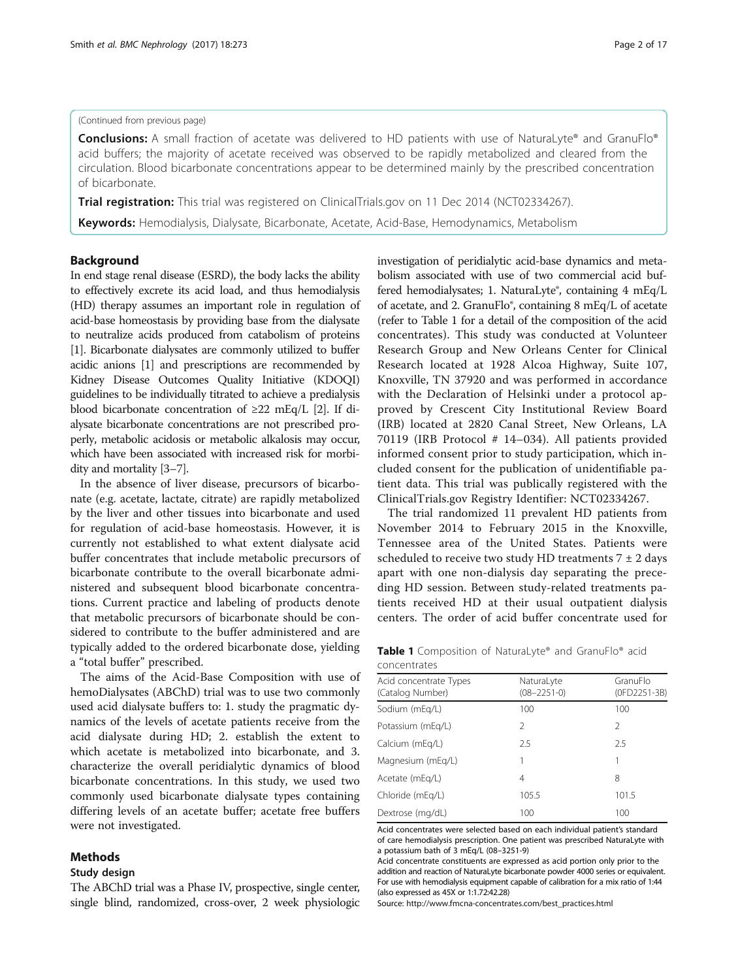### (Continued from previous page)

Conclusions: A small fraction of acetate was delivered to HD patients with use of NaturaLyte® and GranuFlo® acid buffers; the majority of acetate received was observed to be rapidly metabolized and cleared from the circulation. Blood bicarbonate concentrations appear to be determined mainly by the prescribed concentration of bicarbonate.

Trial registration: This trial was registered on ClinicalTrials.gov on 11 Dec 2014 [\(NCT02334267](https://clinicaltrials.gov/ct2/show/NCT02334267?term=NCT02334267&rank=1)).

Keywords: Hemodialysis, Dialysate, Bicarbonate, Acetate, Acid-Base, Hemodynamics, Metabolism

## Background

In end stage renal disease (ESRD), the body lacks the ability to effectively excrete its acid load, and thus hemodialysis (HD) therapy assumes an important role in regulation of acid-base homeostasis by providing base from the dialysate to neutralize acids produced from catabolism of proteins [[1](#page-15-0)]. Bicarbonate dialysates are commonly utilized to buffer acidic anions [[1\]](#page-15-0) and prescriptions are recommended by Kidney Disease Outcomes Quality Initiative (KDOQI) guidelines to be individually titrated to achieve a predialysis blood bicarbonate concentration of  $\geq 22$  mEq/L [\[2\]](#page-15-0). If dialysate bicarbonate concentrations are not prescribed properly, metabolic acidosis or metabolic alkalosis may occur, which have been associated with increased risk for morbidity and mortality [\[3](#page-15-0)–[7](#page-15-0)].

In the absence of liver disease, precursors of bicarbonate (e.g. acetate, lactate, citrate) are rapidly metabolized by the liver and other tissues into bicarbonate and used for regulation of acid-base homeostasis. However, it is currently not established to what extent dialysate acid buffer concentrates that include metabolic precursors of bicarbonate contribute to the overall bicarbonate administered and subsequent blood bicarbonate concentrations. Current practice and labeling of products denote that metabolic precursors of bicarbonate should be considered to contribute to the buffer administered and are typically added to the ordered bicarbonate dose, yielding a "total buffer" prescribed.

The aims of the Acid-Base Composition with use of hemoDialysates (ABChD) trial was to use two commonly used acid dialysate buffers to: 1. study the pragmatic dynamics of the levels of acetate patients receive from the acid dialysate during HD; 2. establish the extent to which acetate is metabolized into bicarbonate, and 3. characterize the overall peridialytic dynamics of blood bicarbonate concentrations. In this study, we used two commonly used bicarbonate dialysate types containing differing levels of an acetate buffer; acetate free buffers were not investigated.

## Methods

## Study design

The ABChD trial was a Phase IV, prospective, single center, single blind, randomized, cross-over, 2 week physiologic investigation of peridialytic acid-base dynamics and metabolism associated with use of two commercial acid buffered hemodialysates; 1. NaturaLyte®, containing 4 mEq/L of acetate, and 2. GranuFlo®, containing 8 mEq/L of acetate (refer to Table 1 for a detail of the composition of the acid concentrates). This study was conducted at Volunteer Research Group and New Orleans Center for Clinical Research located at 1928 Alcoa Highway, Suite 107, Knoxville, TN 37920 and was performed in accordance with the Declaration of Helsinki under a protocol approved by Crescent City Institutional Review Board (IRB) located at 2820 Canal Street, New Orleans, LA 70119 (IRB Protocol # 14–034). All patients provided informed consent prior to study participation, which included consent for the publication of unidentifiable patient data. This trial was publically registered with the [ClinicalTrials.gov](http://clinicaltrials.gov) Registry Identifier: NCT02334267.

The trial randomized 11 prevalent HD patients from November 2014 to February 2015 in the Knoxville, Tennessee area of the United States. Patients were scheduled to receive two study HD treatments  $7 \pm 2$  days apart with one non-dialysis day separating the preceding HD session. Between study-related treatments patients received HD at their usual outpatient dialysis centers. The order of acid buffer concentrate used for

Table 1 Composition of NaturaLyte® and GranuFlo® acid concentrates

| Acid concentrate Types<br>(Catalog Number) | NaturaLyte<br>$(08 - 2251 - 0)$ | GranuFlo<br>(OFD2251-3B) |
|--------------------------------------------|---------------------------------|--------------------------|
| Sodium (mEq/L)                             | 100                             | 100                      |
| Potassium (mEg/L)                          | $\mathcal{P}$                   | 2                        |
| Calcium (mEg/L)                            | 2.5                             | 2.5                      |
| Magnesium (mEg/L)                          |                                 | 1                        |
| Acetate (mEq/L)                            | 4                               | 8                        |
| Chloride (mEq/L)                           | 105.5                           | 101.5                    |
| Dextrose (mg/dL)                           | 100                             | 100                      |
|                                            |                                 |                          |

Acid concentrates were selected based on each individual patient's standard of care hemodialysis prescription. One patient was prescribed NaturaLyte with a potassium bath of 3 mEq/L (08–3251-9)

Acid concentrate constituents are expressed as acid portion only prior to the addition and reaction of NaturaLyte bicarbonate powder 4000 series or equivalent. For use with hemodialysis equipment capable of calibration for a mix ratio of 1:44 (also expressed as 45X or 1:1.72:42.28)

Source: [http://www.fmcna-concentrates.com/best\\_practices.html](http://www.fmcna-concentrates.com/best_practices.html)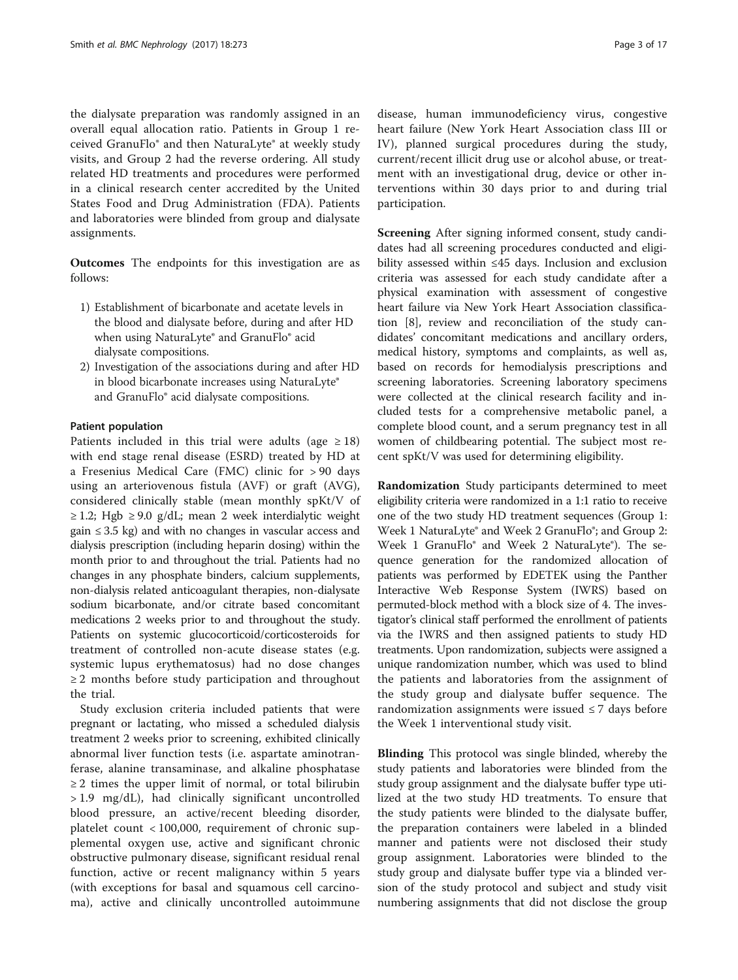the dialysate preparation was randomly assigned in an overall equal allocation ratio. Patients in Group 1 received GranuFlo® and then NaturaLyte® at weekly study visits, and Group 2 had the reverse ordering. All study related HD treatments and procedures were performed in a clinical research center accredited by the United States Food and Drug Administration (FDA). Patients and laboratories were blinded from group and dialysate assignments.

Outcomes The endpoints for this investigation are as follows:

- 1) Establishment of bicarbonate and acetate levels in the blood and dialysate before, during and after HD when using NaturaLyte® and GranuFlo® acid dialysate compositions.
- 2) Investigation of the associations during and after HD in blood bicarbonate increases using NaturaLyte® and GranuFlo® acid dialysate compositions.

## Patient population

Patients included in this trial were adults (age  $\geq$  18) with end stage renal disease (ESRD) treated by HD at a Fresenius Medical Care (FMC) clinic for > 90 days using an arteriovenous fistula (AVF) or graft (AVG), considered clinically stable (mean monthly spKt/V of ≥ 1.2; Hgb ≥ 9.0 g/dL; mean 2 week interdialytic weight gain  $\leq$  3.5 kg) and with no changes in vascular access and dialysis prescription (including heparin dosing) within the month prior to and throughout the trial. Patients had no changes in any phosphate binders, calcium supplements, non-dialysis related anticoagulant therapies, non-dialysate sodium bicarbonate, and/or citrate based concomitant medications 2 weeks prior to and throughout the study. Patients on systemic glucocorticoid/corticosteroids for treatment of controlled non-acute disease states (e.g. systemic lupus erythematosus) had no dose changes  $\geq$  2 months before study participation and throughout the trial.

Study exclusion criteria included patients that were pregnant or lactating, who missed a scheduled dialysis treatment 2 weeks prior to screening, exhibited clinically abnormal liver function tests (i.e. aspartate aminotranferase, alanine transaminase, and alkaline phosphatase  $\geq$  2 times the upper limit of normal, or total bilirubin > 1.9 mg/dL), had clinically significant uncontrolled blood pressure, an active/recent bleeding disorder, platelet count < 100,000, requirement of chronic supplemental oxygen use, active and significant chronic obstructive pulmonary disease, significant residual renal function, active or recent malignancy within 5 years (with exceptions for basal and squamous cell carcinoma), active and clinically uncontrolled autoimmune

disease, human immunodeficiency virus, congestive heart failure (New York Heart Association class III or IV), planned surgical procedures during the study, current/recent illicit drug use or alcohol abuse, or treatment with an investigational drug, device or other interventions within 30 days prior to and during trial participation.

Screening After signing informed consent, study candidates had all screening procedures conducted and eligibility assessed within ≤45 days. Inclusion and exclusion criteria was assessed for each study candidate after a physical examination with assessment of congestive heart failure via New York Heart Association classification [[8\]](#page-16-0), review and reconciliation of the study candidates' concomitant medications and ancillary orders, medical history, symptoms and complaints, as well as, based on records for hemodialysis prescriptions and screening laboratories. Screening laboratory specimens were collected at the clinical research facility and included tests for a comprehensive metabolic panel, a complete blood count, and a serum pregnancy test in all women of childbearing potential. The subject most recent spKt/V was used for determining eligibility.

Randomization Study participants determined to meet eligibility criteria were randomized in a 1:1 ratio to receive one of the two study HD treatment sequences (Group 1: Week 1 NaturaLyte® and Week 2 GranuFlo®; and Group 2: Week 1 GranuFlo® and Week 2 NaturaLyte®). The sequence generation for the randomized allocation of patients was performed by EDETEK using the Panther Interactive Web Response System (IWRS) based on permuted-block method with a block size of 4. The investigator's clinical staff performed the enrollment of patients via the IWRS and then assigned patients to study HD treatments. Upon randomization, subjects were assigned a unique randomization number, which was used to blind the patients and laboratories from the assignment of the study group and dialysate buffer sequence. The randomization assignments were issued  $\leq$  7 days before the Week 1 interventional study visit.

Blinding This protocol was single blinded, whereby the study patients and laboratories were blinded from the study group assignment and the dialysate buffer type utilized at the two study HD treatments. To ensure that the study patients were blinded to the dialysate buffer, the preparation containers were labeled in a blinded manner and patients were not disclosed their study group assignment. Laboratories were blinded to the study group and dialysate buffer type via a blinded version of the study protocol and subject and study visit numbering assignments that did not disclose the group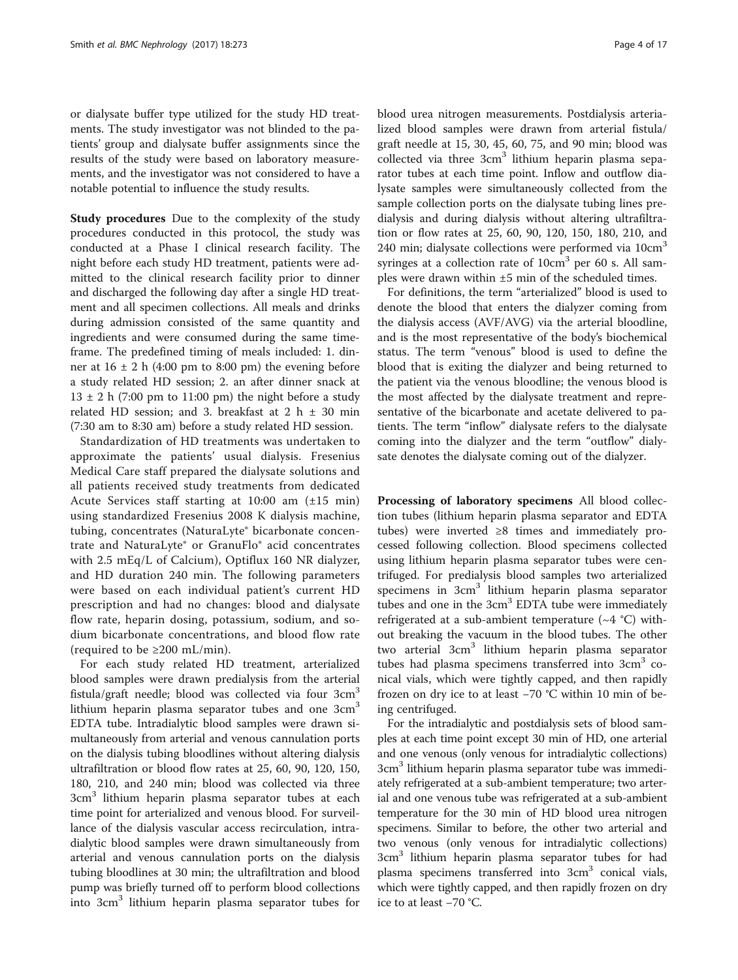or dialysate buffer type utilized for the study HD treatments. The study investigator was not blinded to the patients' group and dialysate buffer assignments since the results of the study were based on laboratory measurements, and the investigator was not considered to have a notable potential to influence the study results.

Study procedures Due to the complexity of the study procedures conducted in this protocol, the study was conducted at a Phase I clinical research facility. The night before each study HD treatment, patients were admitted to the clinical research facility prior to dinner and discharged the following day after a single HD treatment and all specimen collections. All meals and drinks during admission consisted of the same quantity and ingredients and were consumed during the same timeframe. The predefined timing of meals included: 1. dinner at  $16 \pm 2$  h (4:00 pm to 8:00 pm) the evening before a study related HD session; 2. an after dinner snack at  $13 \pm 2$  h (7:00 pm to 11:00 pm) the night before a study related HD session; and 3. breakfast at 2 h  $\pm$  30 min (7:30 am to 8:30 am) before a study related HD session.

Standardization of HD treatments was undertaken to approximate the patients' usual dialysis. Fresenius Medical Care staff prepared the dialysate solutions and all patients received study treatments from dedicated Acute Services staff starting at 10:00 am (±15 min) using standardized Fresenius 2008 K dialysis machine, tubing, concentrates (NaturaLyte® bicarbonate concentrate and NaturaLyte® or GranuFlo® acid concentrates with 2.5 mEq/L of Calcium), Optiflux 160 NR dialyzer, and HD duration 240 min. The following parameters were based on each individual patient's current HD prescription and had no changes: blood and dialysate flow rate, heparin dosing, potassium, sodium, and sodium bicarbonate concentrations, and blood flow rate (required to be ≥200 mL/min).

For each study related HD treatment, arterialized blood samples were drawn predialysis from the arterial fistula/graft needle; blood was collected via four  $3 \text{cm}^3$ lithium heparin plasma separator tubes and one  $3 \text{cm}^3$ EDTA tube. Intradialytic blood samples were drawn simultaneously from arterial and venous cannulation ports on the dialysis tubing bloodlines without altering dialysis ultrafiltration or blood flow rates at 25, 60, 90, 120, 150, 180, 210, and 240 min; blood was collected via three 3cm<sup>3</sup> lithium heparin plasma separator tubes at each time point for arterialized and venous blood. For surveillance of the dialysis vascular access recirculation, intradialytic blood samples were drawn simultaneously from arterial and venous cannulation ports on the dialysis tubing bloodlines at 30 min; the ultrafiltration and blood pump was briefly turned off to perform blood collections into 3cm<sup>3</sup> lithium heparin plasma separator tubes for

blood urea nitrogen measurements. Postdialysis arterialized blood samples were drawn from arterial fistula/ graft needle at 15, 30, 45, 60, 75, and 90 min; blood was collected via three  $3cm<sup>3</sup>$  lithium heparin plasma separator tubes at each time point. Inflow and outflow dialysate samples were simultaneously collected from the sample collection ports on the dialysate tubing lines predialysis and during dialysis without altering ultrafiltration or flow rates at 25, 60, 90, 120, 150, 180, 210, and 240 min; dialysate collections were performed via  $10 \text{cm}^3$ syringes at a collection rate of  $10 \text{cm}^3$  per 60 s. All samples were drawn within ±5 min of the scheduled times.

For definitions, the term "arterialized" blood is used to denote the blood that enters the dialyzer coming from the dialysis access (AVF/AVG) via the arterial bloodline, and is the most representative of the body's biochemical status. The term "venous" blood is used to define the blood that is exiting the dialyzer and being returned to the patient via the venous bloodline; the venous blood is the most affected by the dialysate treatment and representative of the bicarbonate and acetate delivered to patients. The term "inflow" dialysate refers to the dialysate coming into the dialyzer and the term "outflow" dialysate denotes the dialysate coming out of the dialyzer.

Processing of laboratory specimens All blood collection tubes (lithium heparin plasma separator and EDTA tubes) were inverted ≥8 times and immediately processed following collection. Blood specimens collected using lithium heparin plasma separator tubes were centrifuged. For predialysis blood samples two arterialized specimens in 3cm<sup>3</sup> lithium heparin plasma separator tubes and one in the  $3 \text{cm}^3$  EDTA tube were immediately refrigerated at a sub-ambient temperature  $({\sim}4$  °C) without breaking the vacuum in the blood tubes. The other two arterial 3cm<sup>3</sup> lithium heparin plasma separator tubes had plasma specimens transferred into  $3 \text{cm}^3$  conical vials, which were tightly capped, and then rapidly frozen on dry ice to at least −70 °C within 10 min of being centrifuged.

For the intradialytic and postdialysis sets of blood samples at each time point except 30 min of HD, one arterial and one venous (only venous for intradialytic collections) 3cm<sup>3</sup> lithium heparin plasma separator tube was immediately refrigerated at a sub-ambient temperature; two arterial and one venous tube was refrigerated at a sub-ambient temperature for the 30 min of HD blood urea nitrogen specimens. Similar to before, the other two arterial and two venous (only venous for intradialytic collections) 3cm<sup>3</sup> lithium heparin plasma separator tubes for had plasma specimens transferred into 3cm<sup>3</sup> conical vials, which were tightly capped, and then rapidly frozen on dry ice to at least −70 °C.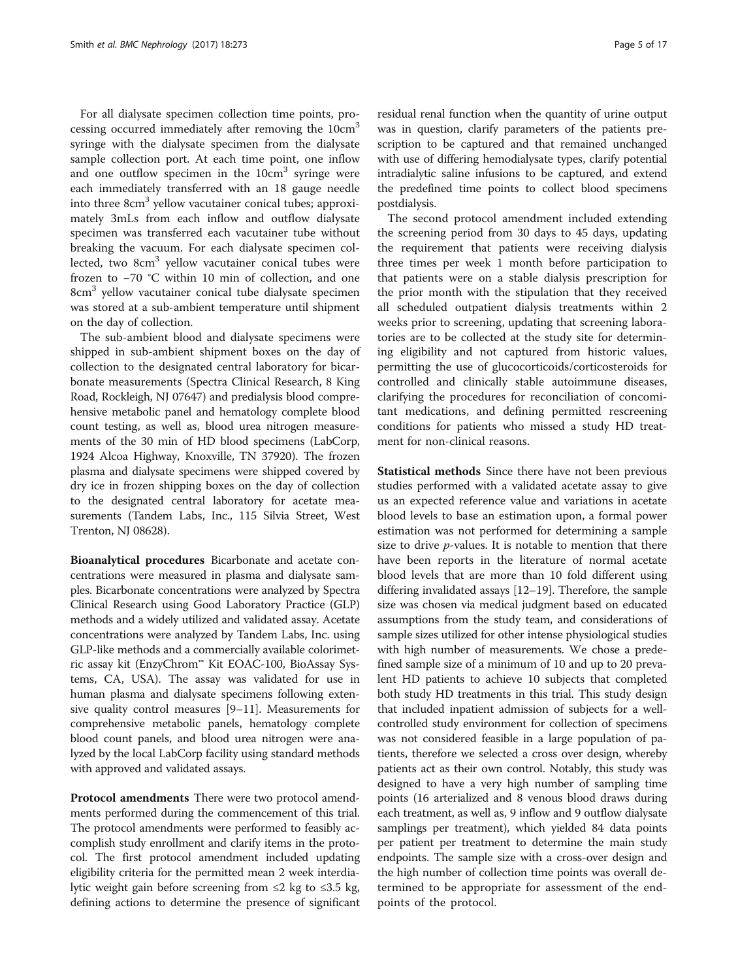For all dialysate specimen collection time points, processing occurred immediately after removing the 10cm<sup>3</sup> syringe with the dialysate specimen from the dialysate sample collection port. At each time point, one inflow and one outflow specimen in the  $10 \text{cm}^3$  syringe were each immediately transferred with an 18 gauge needle into three  $8 \text{cm}^3$  yellow vacutainer conical tubes; approximately 3mLs from each inflow and outflow dialysate specimen was transferred each vacutainer tube without breaking the vacuum. For each dialysate specimen collected, two 8cm<sup>3</sup> yellow vacutainer conical tubes were frozen to −70 °C within 10 min of collection, and one 8cm<sup>3</sup> yellow vacutainer conical tube dialysate specimen was stored at a sub-ambient temperature until shipment on the day of collection.

The sub-ambient blood and dialysate specimens were shipped in sub-ambient shipment boxes on the day of collection to the designated central laboratory for bicarbonate measurements (Spectra Clinical Research, 8 King Road, Rockleigh, NJ 07647) and predialysis blood comprehensive metabolic panel and hematology complete blood count testing, as well as, blood urea nitrogen measurements of the 30 min of HD blood specimens (LabCorp, 1924 Alcoa Highway, Knoxville, TN 37920). The frozen plasma and dialysate specimens were shipped covered by dry ice in frozen shipping boxes on the day of collection to the designated central laboratory for acetate measurements (Tandem Labs, Inc., 115 Silvia Street, West Trenton, NJ 08628).

Bioanalytical procedures Bicarbonate and acetate concentrations were measured in plasma and dialysate samples. Bicarbonate concentrations were analyzed by Spectra Clinical Research using Good Laboratory Practice (GLP) methods and a widely utilized and validated assay. Acetate concentrations were analyzed by Tandem Labs, Inc. using GLP-like methods and a commercially available colorimetric assay kit (EnzyChrom™ Kit EOAC-100, BioAssay Systems, CA, USA). The assay was validated for use in human plasma and dialysate specimens following extensive quality control measures [[9](#page-16-0)–[11\]](#page-16-0). Measurements for comprehensive metabolic panels, hematology complete blood count panels, and blood urea nitrogen were analyzed by the local LabCorp facility using standard methods with approved and validated assays.

Protocol amendments There were two protocol amendments performed during the commencement of this trial. The protocol amendments were performed to feasibly accomplish study enrollment and clarify items in the protocol. The first protocol amendment included updating eligibility criteria for the permitted mean 2 week interdialytic weight gain before screening from ≤2 kg to ≤3.5 kg, defining actions to determine the presence of significant

residual renal function when the quantity of urine output was in question, clarify parameters of the patients prescription to be captured and that remained unchanged with use of differing hemodialysate types, clarify potential intradialytic saline infusions to be captured, and extend the predefined time points to collect blood specimens postdialysis.

The second protocol amendment included extending the screening period from 30 days to 45 days, updating the requirement that patients were receiving dialysis three times per week 1 month before participation to that patients were on a stable dialysis prescription for the prior month with the stipulation that they received all scheduled outpatient dialysis treatments within 2 weeks prior to screening, updating that screening laboratories are to be collected at the study site for determining eligibility and not captured from historic values, permitting the use of glucocorticoids/corticosteroids for controlled and clinically stable autoimmune diseases, clarifying the procedures for reconciliation of concomitant medications, and defining permitted rescreening conditions for patients who missed a study HD treatment for non-clinical reasons.

Statistical methods Since there have not been previous studies performed with a validated acetate assay to give us an expected reference value and variations in acetate blood levels to base an estimation upon, a formal power estimation was not performed for determining a sample size to drive  $p$ -values. It is notable to mention that there have been reports in the literature of normal acetate blood levels that are more than 10 fold different using differing invalidated assays [\[12](#page-16-0)–[19\]](#page-16-0). Therefore, the sample size was chosen via medical judgment based on educated assumptions from the study team, and considerations of sample sizes utilized for other intense physiological studies with high number of measurements. We chose a predefined sample size of a minimum of 10 and up to 20 prevalent HD patients to achieve 10 subjects that completed both study HD treatments in this trial. This study design that included inpatient admission of subjects for a wellcontrolled study environment for collection of specimens was not considered feasible in a large population of patients, therefore we selected a cross over design, whereby patients act as their own control. Notably, this study was designed to have a very high number of sampling time points (16 arterialized and 8 venous blood draws during each treatment, as well as, 9 inflow and 9 outflow dialysate samplings per treatment), which yielded 84 data points per patient per treatment to determine the main study endpoints. The sample size with a cross-over design and the high number of collection time points was overall determined to be appropriate for assessment of the endpoints of the protocol.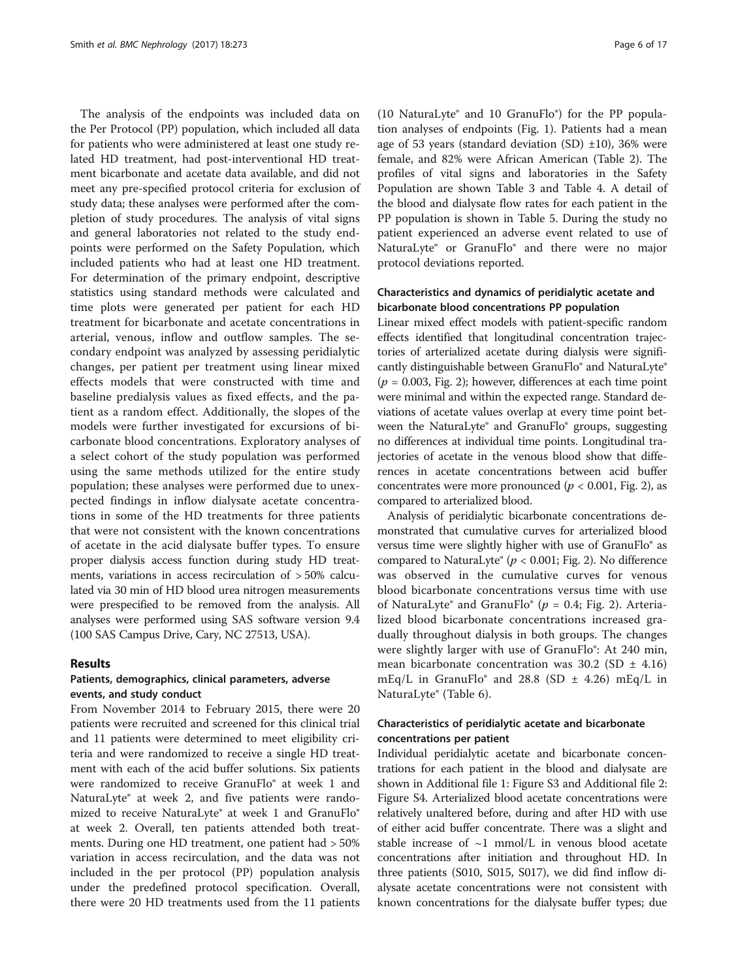The analysis of the endpoints was included data on the Per Protocol (PP) population, which included all data for patients who were administered at least one study related HD treatment, had post-interventional HD treatment bicarbonate and acetate data available, and did not meet any pre-specified protocol criteria for exclusion of study data; these analyses were performed after the completion of study procedures. The analysis of vital signs and general laboratories not related to the study endpoints were performed on the Safety Population, which included patients who had at least one HD treatment. For determination of the primary endpoint, descriptive statistics using standard methods were calculated and time plots were generated per patient for each HD treatment for bicarbonate and acetate concentrations in arterial, venous, inflow and outflow samples. The secondary endpoint was analyzed by assessing peridialytic changes, per patient per treatment using linear mixed effects models that were constructed with time and baseline predialysis values as fixed effects, and the patient as a random effect. Additionally, the slopes of the models were further investigated for excursions of bicarbonate blood concentrations. Exploratory analyses of a select cohort of the study population was performed using the same methods utilized for the entire study population; these analyses were performed due to unexpected findings in inflow dialysate acetate concentrations in some of the HD treatments for three patients that were not consistent with the known concentrations of acetate in the acid dialysate buffer types. To ensure proper dialysis access function during study HD treatments, variations in access recirculation of > 50% calculated via 30 min of HD blood urea nitrogen measurements were prespecified to be removed from the analysis. All analyses were performed using SAS software version 9.4 (100 SAS Campus Drive, Cary, NC 27513, USA).

## Results

## Patients, demographics, clinical parameters, adverse events, and study conduct

From November 2014 to February 2015, there were 20 patients were recruited and screened for this clinical trial and 11 patients were determined to meet eligibility criteria and were randomized to receive a single HD treatment with each of the acid buffer solutions. Six patients were randomized to receive GranuFlo® at week 1 and NaturaLyte® at week 2, and five patients were randomized to receive NaturaLyte® at week 1 and GranuFlo® at week 2. Overall, ten patients attended both treatments. During one HD treatment, one patient had > 50% variation in access recirculation, and the data was not included in the per protocol (PP) population analysis under the predefined protocol specification. Overall, there were 20 HD treatments used from the 11 patients

(10 NaturaLyte® and 10 GranuFlo®) for the PP population analyses of endpoints (Fig. [1\)](#page-6-0). Patients had a mean age of 53 years (standard deviation  $(SD) \pm 10$ ), 36% were female, and 82% were African American (Table [2](#page-7-0)). The profiles of vital signs and laboratories in the Safety Population are shown Table [3](#page-7-0) and Table [4.](#page-8-0) A detail of the blood and dialysate flow rates for each patient in the PP population is shown in Table [5](#page-10-0). During the study no patient experienced an adverse event related to use of NaturaLyte® or GranuFlo® and there were no major protocol deviations reported.

## Characteristics and dynamics of peridialytic acetate and bicarbonate blood concentrations PP population

Linear mixed effect models with patient-specific random effects identified that longitudinal concentration trajectories of arterialized acetate during dialysis were significantly distinguishable between GranuFlo® and NaturaLyte®  $(p = 0.003, Fig. 2)$  $(p = 0.003, Fig. 2)$ ; however, differences at each time point were minimal and within the expected range. Standard deviations of acetate values overlap at every time point between the NaturaLyte® and GranuFlo® groups, suggesting no differences at individual time points. Longitudinal trajectories of acetate in the venous blood show that differences in acetate concentrations between acid buffer concentrates were more pronounced ( $p < 0.001$ , Fig. [2](#page-11-0)), as compared to arterialized blood.

Analysis of peridialytic bicarbonate concentrations demonstrated that cumulative curves for arterialized blood versus time were slightly higher with use of GranuFlo® as compared to NaturaLyte® ( $p < 0.001$ ; Fig. [2](#page-11-0)). No difference was observed in the cumulative curves for venous blood bicarbonate concentrations versus time with use of NaturaLyte<sup>®</sup> and GranuFlo<sup>®</sup> ( $p = 0.4$ ; Fig. [2\)](#page-11-0). Arterialized blood bicarbonate concentrations increased gradually throughout dialysis in both groups. The changes were slightly larger with use of GranuFlo<sup>®</sup>: At 240 min, mean bicarbonate concentration was  $30.2$  (SD  $\pm$  4.16) mEq/L in GranuFlo<sup>®</sup> and 28.8 (SD  $\pm$  4.26) mEq/L in NaturaLyte® (Table [6](#page-12-0)).

## Characteristics of peridialytic acetate and bicarbonate concentrations per patient

Individual peridialytic acetate and bicarbonate concentrations for each patient in the blood and dialysate are shown in Additional file [1:](#page-14-0) Figure S3 and Additional file [2](#page-14-0): Figure S4. Arterialized blood acetate concentrations were relatively unaltered before, during and after HD with use of either acid buffer concentrate. There was a slight and stable increase of  $\sim$ 1 mmol/L in venous blood acetate concentrations after initiation and throughout HD. In three patients (S010, S015, S017), we did find inflow dialysate acetate concentrations were not consistent with known concentrations for the dialysate buffer types; due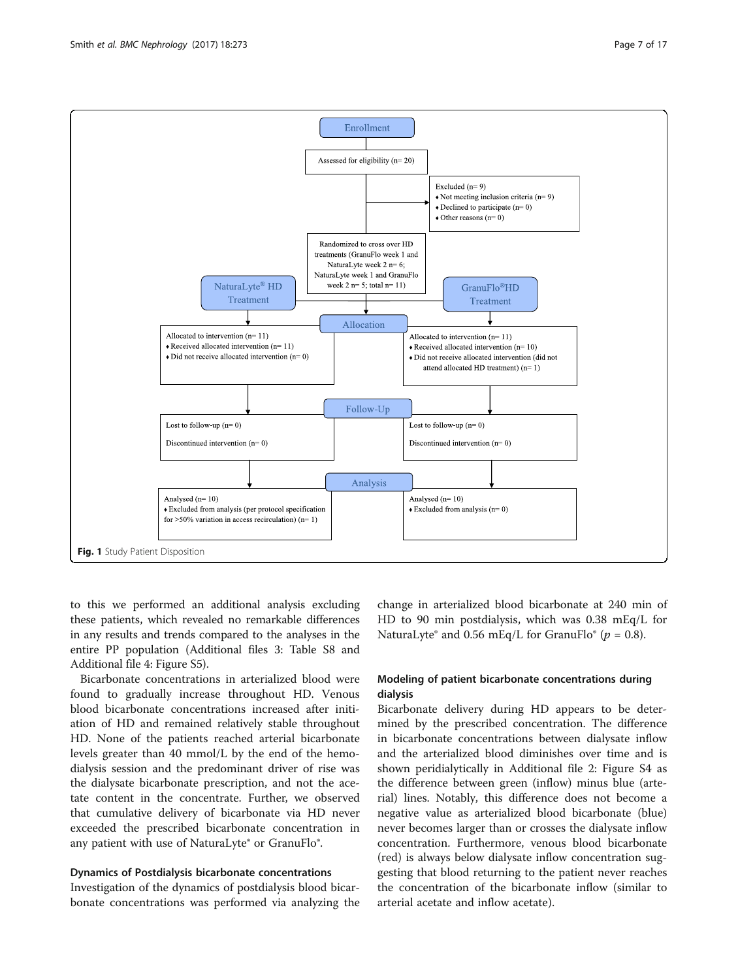<span id="page-6-0"></span>



to this we performed an additional analysis excluding these patients, which revealed no remarkable differences in any results and trends compared to the analyses in the entire PP population (Additional files [3](#page-14-0): Table S8 and Additional file [4](#page-15-0): Figure S5).

Bicarbonate concentrations in arterialized blood were found to gradually increase throughout HD. Venous blood bicarbonate concentrations increased after initiation of HD and remained relatively stable throughout HD. None of the patients reached arterial bicarbonate levels greater than 40 mmol/L by the end of the hemodialysis session and the predominant driver of rise was the dialysate bicarbonate prescription, and not the acetate content in the concentrate. Further, we observed that cumulative delivery of bicarbonate via HD never exceeded the prescribed bicarbonate concentration in any patient with use of NaturaLyte® or GranuFlo®.

## Dynamics of Postdialysis bicarbonate concentrations

Investigation of the dynamics of postdialysis blood bicarbonate concentrations was performed via analyzing the

change in arterialized blood bicarbonate at 240 min of HD to 90 min postdialysis, which was 0.38 mEq/L for NaturaLyte<sup>®</sup> and 0.56 mEq/L for GranuFlo<sup>®</sup> ( $p = 0.8$ ).

## Modeling of patient bicarbonate concentrations during dialysis

Bicarbonate delivery during HD appears to be determined by the prescribed concentration. The difference in bicarbonate concentrations between dialysate inflow and the arterialized blood diminishes over time and is shown peridialytically in Additional file [2:](#page-14-0) Figure S4 as the difference between green (inflow) minus blue (arterial) lines. Notably, this difference does not become a negative value as arterialized blood bicarbonate (blue) never becomes larger than or crosses the dialysate inflow concentration. Furthermore, venous blood bicarbonate (red) is always below dialysate inflow concentration suggesting that blood returning to the patient never reaches the concentration of the bicarbonate inflow (similar to arterial acetate and inflow acetate).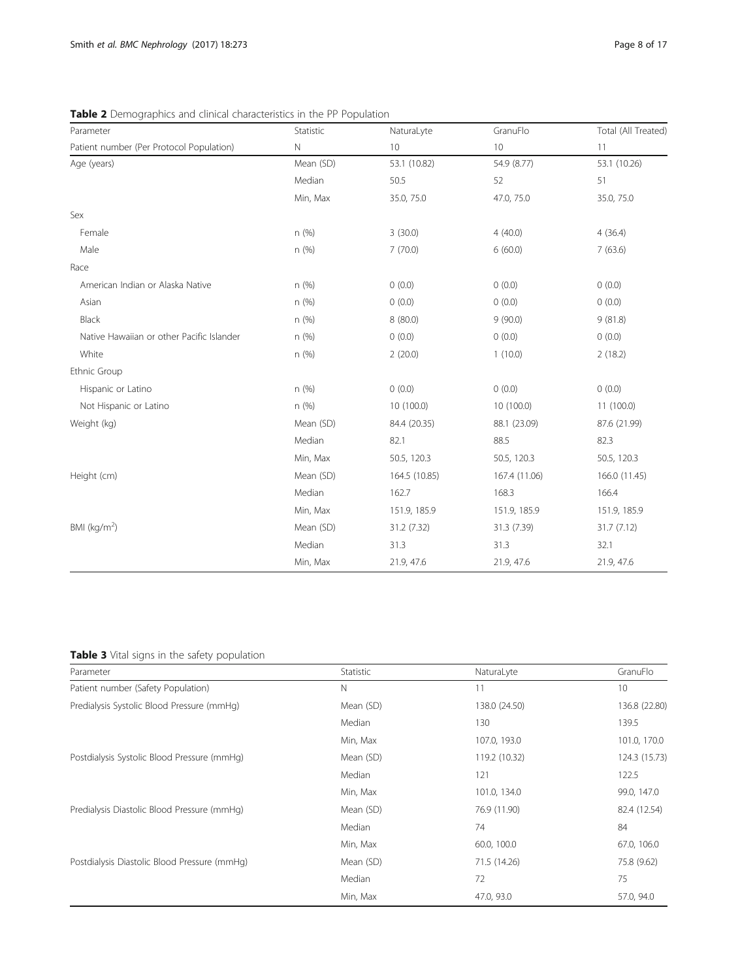<span id="page-7-0"></span>

| Table 2 Demographics and clinical characteristics in the PP Population |  |
|------------------------------------------------------------------------|--|
|------------------------------------------------------------------------|--|

| Parameter                                 | Statistic   | NaturaLyte    | GranuFlo        | Total (All Treated) |
|-------------------------------------------|-------------|---------------|-----------------|---------------------|
| Patient number (Per Protocol Population)  | $\mathbb N$ | 10            | 10 <sup>°</sup> | 11                  |
| Age (years)                               | Mean (SD)   | 53.1 (10.82)  | 54.9 (8.77)     | 53.1 (10.26)        |
|                                           | Median      | 50.5          | 52              | 51                  |
|                                           | Min, Max    | 35.0, 75.0    | 47.0, 75.0      | 35.0, 75.0          |
| Sex                                       |             |               |                 |                     |
| Female                                    | n(%)        | 3(30.0)       | 4(40.0)         | 4(36.4)             |
| Male                                      | n(%)        | 7(70.0)       | 6(60.0)         | 7(63.6)             |
| Race                                      |             |               |                 |                     |
| American Indian or Alaska Native          | n(%)        | 0(0.0)        | 0(0.0)          | 0(0.0)              |
| Asian                                     | n(%)        | 0(0.0)        | 0(0.0)          | 0(0.0)              |
| Black                                     | n(%)        | 8(80.0)       | 9(90.0)         | 9(81.8)             |
| Native Hawaiian or other Pacific Islander | n(%)        | 0(0.0)        | 0(0.0)          | 0(0.0)              |
| White                                     | n(%)        | 2(20.0)       | 1(10.0)         | 2(18.2)             |
| Ethnic Group                              |             |               |                 |                     |
| Hispanic or Latino                        | n(%)        | 0(0.0)        | 0(0.0)          | 0(0.0)              |
| Not Hispanic or Latino                    | n(%)        | 10 (100.0)    | 10 (100.0)      | 11 (100.0)          |
| Weight (kg)                               | Mean (SD)   | 84.4 (20.35)  | 88.1 (23.09)    | 87.6 (21.99)        |
|                                           | Median      | 82.1          | 88.5            | 82.3                |
|                                           | Min, Max    | 50.5, 120.3   | 50.5, 120.3     | 50.5, 120.3         |
| Height (cm)                               | Mean (SD)   | 164.5 (10.85) | 167.4 (11.06)   | 166.0 (11.45)       |
|                                           | Median      | 162.7         | 168.3           | 166.4               |
|                                           | Min, Max    | 151.9, 185.9  | 151.9, 185.9    | 151.9, 185.9        |
| BMI ( $kg/m2$ )                           | Mean (SD)   | 31.2 (7.32)   | 31.3 (7.39)     | 31.7 (7.12)         |
|                                           | Median      | 31.3          | 31.3            | 32.1                |
|                                           | Min, Max    | 21.9, 47.6    | 21.9, 47.6      | 21.9, 47.6          |

## Table 3 Vital signs in the safety population

| Parameter                                    | Statistic | NaturaLyte    | GranuFlo      |
|----------------------------------------------|-----------|---------------|---------------|
| Patient number (Safety Population)           | N         | 11            | 10            |
| Predialysis Systolic Blood Pressure (mmHq)   | Mean (SD) | 138.0 (24.50) | 136.8 (22.80) |
|                                              | Median    | 130           | 139.5         |
|                                              | Min, Max  | 107.0, 193.0  | 101.0, 170.0  |
| Postdialysis Systolic Blood Pressure (mmHg)  | Mean (SD) | 119.2 (10.32) | 124.3 (15.73) |
|                                              | Median    | 121           | 122.5         |
|                                              | Min, Max  | 101.0, 134.0  | 99.0, 147.0   |
| Predialysis Diastolic Blood Pressure (mmHg)  | Mean (SD) | 76.9 (11.90)  | 82.4 (12.54)  |
|                                              | Median    | 74            | 84            |
|                                              | Min, Max  | 60.0, 100.0   | 67.0, 106.0   |
| Postdialysis Diastolic Blood Pressure (mmHg) | Mean (SD) | 71.5 (14.26)  | 75.8 (9.62)   |
|                                              | Median    | 72            | 75            |
|                                              | Min, Max  | 47.0, 93.0    | 57.0, 94.0    |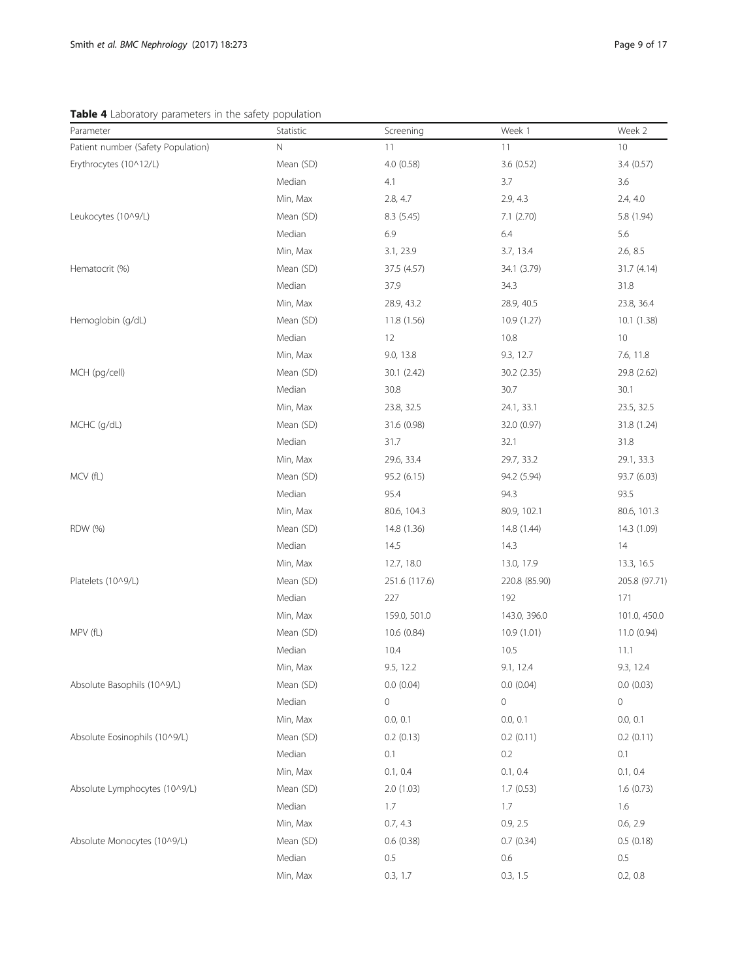<span id="page-8-0"></span>Table 4 Laboratory parameters in the safety population

| Parameter                          | Statistic | Screening     | Week 1        | Week 2        |
|------------------------------------|-----------|---------------|---------------|---------------|
| Patient number (Safety Population) | Ν         | 11            | 11            | 10            |
| Erythrocytes (10^12/L)             | Mean (SD) | 4.0(0.58)     | 3.6 (0.52)    | 3.4 (0.57)    |
|                                    | Median    | 4.1           | 3.7           | 3.6           |
|                                    | Min, Max  | 2.8, 4.7      | 2.9, 4.3      | 2.4, 4.0      |
| Leukocytes (10^9/L)                | Mean (SD) | 8.3(5.45)     | 7.1 (2.70)    | 5.8 (1.94)    |
|                                    | Median    | 6.9           | $6.4\,$       | 5.6           |
|                                    | Min, Max  | 3.1, 23.9     | 3.7, 13.4     | 2.6, 8.5      |
| Hematocrit (%)                     | Mean (SD) | 37.5 (4.57)   | 34.1 (3.79)   | 31.7 (4.14)   |
|                                    | Median    | 37.9          | 34.3          | 31.8          |
|                                    | Min, Max  | 28.9, 43.2    | 28.9, 40.5    | 23.8, 36.4    |
| Hemoglobin (g/dL)                  | Mean (SD) | 11.8 (1.56)   | 10.9 (1.27)   | 10.1 (1.38)   |
|                                    | Median    | 12            | 10.8          | 10            |
|                                    | Min, Max  | 9.0, 13.8     | 9.3, 12.7     | 7.6, 11.8     |
| MCH (pg/cell)                      | Mean (SD) | 30.1 (2.42)   | 30.2 (2.35)   | 29.8 (2.62)   |
|                                    | Median    | 30.8          | 30.7          | 30.1          |
|                                    | Min, Max  | 23.8, 32.5    | 24.1, 33.1    | 23.5, 32.5    |
| MCHC (g/dL)                        | Mean (SD) | 31.6 (0.98)   | 32.0 (0.97)   | 31.8 (1.24)   |
|                                    | Median    | 31.7          | 32.1          | 31.8          |
|                                    | Min, Max  | 29.6, 33.4    | 29.7, 33.2    | 29.1, 33.3    |
| MCV (fL)                           | Mean (SD) | 95.2 (6.15)   | 94.2 (5.94)   | 93.7 (6.03)   |
|                                    | Median    | 95.4          | 94.3          | 93.5          |
|                                    | Min, Max  | 80.6, 104.3   | 80.9, 102.1   | 80.6, 101.3   |
| <b>RDW</b> (%)                     | Mean (SD) | 14.8 (1.36)   | 14.8 (1.44)   | 14.3 (1.09)   |
|                                    | Median    | 14.5          | 14.3          | 14            |
|                                    | Min, Max  | 12.7, 18.0    | 13.0, 17.9    | 13.3, 16.5    |
| Platelets (10^9/L)                 | Mean (SD) | 251.6 (117.6) | 220.8 (85.90) | 205.8 (97.71) |
|                                    | Median    | 227           | 192           | 171           |
|                                    | Min, Max  | 159.0, 501.0  | 143.0, 396.0  | 101.0, 450.0  |
| MPV (fL)                           | Mean (SD) | 10.6 (0.84)   | 10.9 (1.01)   | 11.0 (0.94)   |
|                                    | Median    | 10.4          | 10.5          | 11.1          |
|                                    | Min, Max  | 9.5, 12.2     | 9.1, 12.4     | 9.3, 12.4     |
| Absolute Basophils (10^9/L)        | Mean (SD) | 0.0(0.04)     | 0.0(0.04)     | 0.0(0.03)     |
|                                    | Median    | 0             | $\mathbf 0$   | 0             |
|                                    | Min, Max  | 0.0, 0.1      | 0.0, 0.1      | 0.0, 0.1      |
| Absolute Eosinophils (10^9/L)      | Mean (SD) | 0.2(0.13)     | 0.2(0.11)     | 0.2(0.11)     |
|                                    | Median    | 0.1           | 0.2           | 0.1           |
|                                    | Min, Max  | 0.1, 0.4      | 0.1, 0.4      | 0.1, 0.4      |
| Absolute Lymphocytes (10^9/L)      | Mean (SD) | 2.0(1.03)     | 1.7(0.53)     | 1.6(0.73)     |
|                                    | Median    | 1.7           | 1.7           | 1.6           |
|                                    | Min, Max  | 0.7, 4.3      | 0.9, 2.5      | 0.6, 2.9      |
| Absolute Monocytes (10^9/L)        | Mean (SD) | 0.6(0.38)     | 0.7(0.34)     | 0.5(0.18)     |
|                                    | Median    | $0.5\,$       | $0.6\,$       | 0.5           |
|                                    | Min, Max  | 0.3, 1.7      | 0.3, 1.5      | 0.2, 0.8      |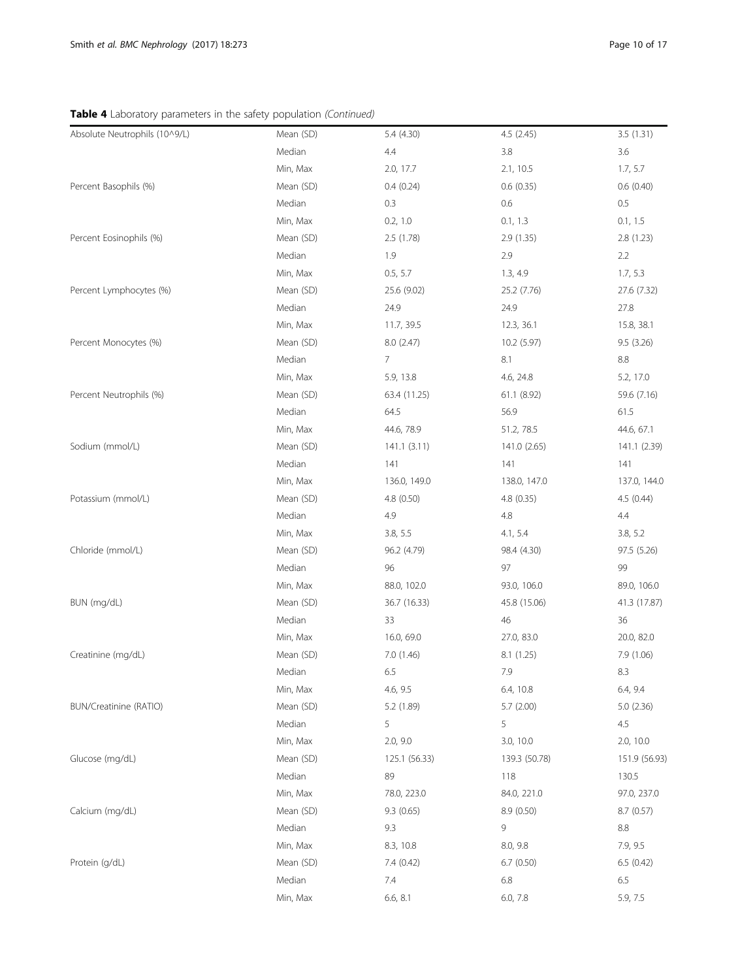Table 4 Laboratory parameters in the safety population (Continued)

| Absolute Neutrophils (10^9/L) | Mean (SD) | 5.4 (4.30)    | 4.5 (2.45)    | 3.5(1.31)     |
|-------------------------------|-----------|---------------|---------------|---------------|
|                               | Median    | 4.4           | 3.8           | 3.6           |
|                               | Min, Max  | 2.0, 17.7     | 2.1, 10.5     | 1.7, 5.7      |
| Percent Basophils (%)         | Mean (SD) | 0.4(0.24)     | 0.6(0.35)     | 0.6(0.40)     |
|                               | Median    | 0.3           | 0.6           | 0.5           |
|                               | Min, Max  | 0.2, 1.0      | 0.1, 1.3      | 0.1, 1.5      |
| Percent Eosinophils (%)       | Mean (SD) | 2.5(1.78)     | 2.9 (1.35)    | 2.8 (1.23)    |
|                               | Median    | 1.9           | 2.9           | 2.2           |
|                               | Min, Max  | 0.5, 5.7      | 1.3, 4.9      | 1.7, 5.3      |
| Percent Lymphocytes (%)       | Mean (SD) | 25.6 (9.02)   | 25.2 (7.76)   | 27.6 (7.32)   |
|                               | Median    | 24.9          | 24.9          | 27.8          |
|                               | Min, Max  | 11.7, 39.5    | 12.3, 36.1    | 15.8, 38.1    |
| Percent Monocytes (%)         | Mean (SD) | 8.0(2.47)     | 10.2 (5.97)   | 9.5(3.26)     |
|                               | Median    | 7             | 8.1           | 8.8           |
|                               | Min, Max  | 5.9, 13.8     | 4.6, 24.8     | 5.2, 17.0     |
| Percent Neutrophils (%)       | Mean (SD) | 63.4 (11.25)  | 61.1 (8.92)   | 59.6 (7.16)   |
|                               | Median    | 64.5          | 56.9          | 61.5          |
|                               | Min, Max  | 44.6, 78.9    | 51.2, 78.5    | 44.6, 67.1    |
| Sodium (mmol/L)               | Mean (SD) | 141.1(3.11)   | 141.0 (2.65)  | 141.1 (2.39)  |
|                               | Median    | 141           | 141           | 141           |
|                               | Min, Max  | 136.0, 149.0  | 138.0, 147.0  | 137.0, 144.0  |
| Potassium (mmol/L)            | Mean (SD) | 4.8 (0.50)    | 4.8 (0.35)    | 4.5(0.44)     |
|                               | Median    | 4.9           | 4.8           | 4.4           |
|                               | Min, Max  | 3.8, 5.5      | 4.1, 5.4      | 3.8, 5.2      |
| Chloride (mmol/L)             | Mean (SD) | 96.2 (4.79)   | 98.4 (4.30)   | 97.5 (5.26)   |
|                               | Median    | 96            | 97            | 99            |
|                               | Min, Max  | 88.0, 102.0   | 93.0, 106.0   | 89.0, 106.0   |
| BUN (mg/dL)                   | Mean (SD) | 36.7 (16.33)  | 45.8 (15.06)  | 41.3 (17.87)  |
|                               | Median    | 33            | 46            | 36            |
|                               | Min, Max  | 16.0, 69.0    | 27.0, 83.0    | 20.0, 82.0    |
| Creatinine (mg/dL)            | Mean (SD) | 7.0 (1.46)    | 8.1 (1.25)    | 7.9 (1.06)    |
|                               | Median    | 6.5           | 7.9           | 8.3           |
|                               | Min, Max  | 4.6, 9.5      | 6.4, 10.8     | 6.4, 9.4      |
| BUN/Creatinine (RATIO)        | Mean (SD) | 5.2 (1.89)    | 5.7(2.00)     | 5.0(2.36)     |
|                               | Median    | 5             | 5             | 4.5           |
|                               | Min, Max  | 2.0, 9.0      | 3.0, 10.0     | 2.0, 10.0     |
| Glucose (mg/dL)               | Mean (SD) | 125.1 (56.33) | 139.3 (50.78) | 151.9 (56.93) |
|                               | Median    | 89            | 118           | 130.5         |
|                               | Min, Max  | 78.0, 223.0   | 84.0, 221.0   | 97.0, 237.0   |
| Calcium (mg/dL)               | Mean (SD) | 9.3(0.65)     | 8.9 (0.50)    | 8.7(0.57)     |
|                               | Median    | 9.3           | 9             | 8.8           |
|                               | Min, Max  | 8.3, 10.8     | 8.0, 9.8      | 7.9, 9.5      |
| Protein (g/dL)                | Mean (SD) | 7.4 (0.42)    | 6.7(0.50)     | 6.5(0.42)     |
|                               | Median    | 7.4           | $6.8\,$       | 6.5           |
|                               | Min, Max  | 6.6, 8.1      | 6.0, 7.8      | 5.9, 7.5      |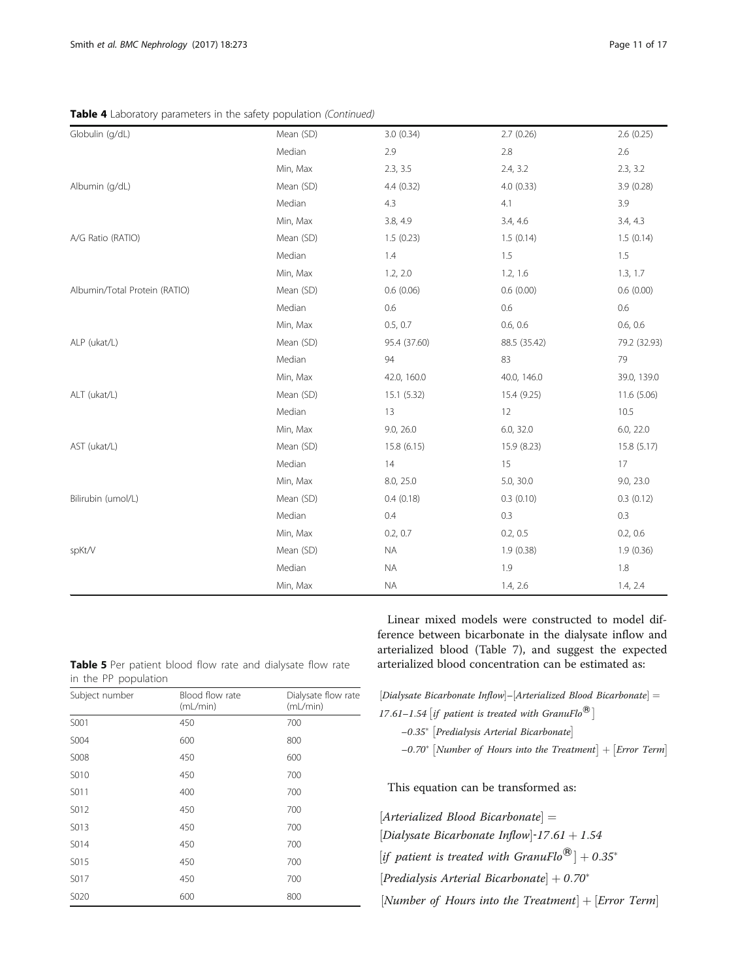<span id="page-10-0"></span>Table 4 Laboratory parameters in the safety population (Continued)

| Globulin (g/dL)               | Mean (SD) | 3.0(0.34)    | 2.7(0.26)    | 2.6(0.25)    |
|-------------------------------|-----------|--------------|--------------|--------------|
|                               | Median    | 2.9          | 2.8          | 2.6          |
|                               | Min, Max  | 2.3, 3.5     | 2.4, 3.2     | 2.3, 3.2     |
| Albumin (g/dL)                | Mean (SD) | 4.4(0.32)    | 4.0(0.33)    | 3.9(0.28)    |
|                               | Median    | 4.3          | 4.1          | 3.9          |
|                               | Min, Max  | 3.8, 4.9     | 3.4, 4.6     | 3.4, 4.3     |
| A/G Ratio (RATIO)             | Mean (SD) | 1.5(0.23)    | 1.5(0.14)    | 1.5(0.14)    |
|                               | Median    | 1.4          | 1.5          | 1.5          |
|                               | Min, Max  | 1.2, 2.0     | 1.2, 1.6     | 1.3, 1.7     |
| Albumin/Total Protein (RATIO) | Mean (SD) | 0.6(0.06)    | 0.6(0.00)    | 0.6(0.00)    |
|                               | Median    | 0.6          | 0.6          | 0.6          |
|                               | Min, Max  | 0.5, 0.7     | 0.6, 0.6     | 0.6, 0.6     |
| ALP (ukat/L)                  | Mean (SD) | 95.4 (37.60) | 88.5 (35.42) | 79.2 (32.93) |
|                               | Median    | 94           | 83           | 79           |
|                               | Min, Max  | 42.0, 160.0  | 40.0, 146.0  | 39.0, 139.0  |
| ALT (ukat/L)                  | Mean (SD) | 15.1(5.32)   | 15.4 (9.25)  | 11.6 (5.06)  |
|                               | Median    | 13           | 12           | 10.5         |
|                               | Min, Max  | 9.0, 26.0    | 6.0, 32.0    | 6.0, 22.0    |
| AST (ukat/L)                  | Mean (SD) | 15.8(6.15)   | 15.9 (8.23)  | 15.8 (5.17)  |
|                               | Median    | 14           | 15           | 17           |
|                               | Min, Max  | 8.0, 25.0    | 5.0, 30.0    | 9.0, 23.0    |
| Bilirubin (umol/L)            | Mean (SD) | 0.4(0.18)    | 0.3(0.10)    | 0.3(0.12)    |
|                               | Median    | 0.4          | 0.3          | 0.3          |
|                               | Min, Max  | 0.2, 0.7     | 0.2, 0.5     | 0.2, 0.6     |
| spKt/V                        | Mean (SD) | <b>NA</b>    | 1.9 (0.38)   | 1.9(0.36)    |
|                               | Median    | <b>NA</b>    | 1.9          | $1.8\,$      |
|                               | Min, Max  | <b>NA</b>    | 1.4, 2.6     | 1.4, 2.4     |

|  |  |                      |  |  | <b>Table 5</b> Per patient blood flow rate and dialysate flow rate |  |
|--|--|----------------------|--|--|--------------------------------------------------------------------|--|
|  |  | in the PP population |  |  |                                                                    |  |

| Subject number | Blood flow rate<br>(mL/min) | Dialysate flow rate<br>(mL/min) |
|----------------|-----------------------------|---------------------------------|
| S001           | 450                         | 700                             |
| S004           | 600                         | 800                             |
| S008           | 450                         | 600                             |
| S010           | 450                         | 700                             |
| S011           | 400                         | 700                             |
| S012           | 450                         | 700                             |
| S013           | 450                         | 700                             |
| S014           | 450                         | 700                             |
| S015           | 450                         | 700                             |
| S017           | 450                         | 700                             |
| S020           | 600                         | 800                             |

Linear mixed models were constructed to model difference between bicarbonate in the dialysate inflow and arterialized blood (Table [7\)](#page-12-0), and suggest the expected arterialized blood concentration can be estimated as:

 $[Dialysate\ Bicarbonate\ Inflow] - [Arterialized\ Blood\ Bicarbonate] = % \begin{align} \label{eq:1} & \frac{1}{2} \left[ \begin{array}{cc} \frac{1}{2} & \frac{1}{2} \\ \frac{1}{2} & \frac{1}{2} \end{array} \right] \end{align} % \begin{align} & \frac{1}{2} \left[ \begin{array}{cc} \frac{1}{2} & \frac{1}{2} \\ \frac{1}{2} & \frac{1}{2} \end{array} \right] \end{align} % \begin{align} & \frac{1}{2} \left[ \begin{array}{cc} \frac{1}{2} & \frac{1}{2} \\ \frac{1}{2} & \frac$ 17.61–1.54 [if patient is treated with GranuFlo<sup>®</sup>]

–0:35 Predialysis Arterial Bicarbonate

 $-0.70$ <sup>\*</sup> [Number of Hours into the Treatment] + [Error Term]

This equation can be transformed as:

 $[Arterialized\ Blood\ Bicarbonate] = % \begin{cases} \frac{1}{\sqrt{2\pi}}\left\{ \frac{1}{\sqrt{2\pi}}\right\} & \text{if } \frac{1}{\sqrt{2\pi}}\frac{1}{\sqrt{2\pi}}\frac{1}{\sqrt{2\pi}}\\ \frac{1}{\sqrt{2\pi}}\frac{1}{\sqrt{2\pi}} & \text{if } \frac{1}{\sqrt{2\pi}}\frac{1}{\sqrt{2\pi}} \frac{1}{\sqrt{2\pi}} \frac{1}{\sqrt{2\pi}} \frac{1}{\sqrt{2\pi}} \frac{1}{\sqrt{2\pi}} \frac{1}{\sqrt{2\pi}} \frac{1}{\sqrt{2\pi$ [Dialysate Bicarbonate Inflow] $-17.61 + 1.54$ [if patient is treated with GranuFlo<sup>®</sup>] +  $0.35^*$  $[Predialysis \, A rterial \, Bicarbonate] + 0.70^*$  $[Number of Hours into the Treatment] + [Error Term]$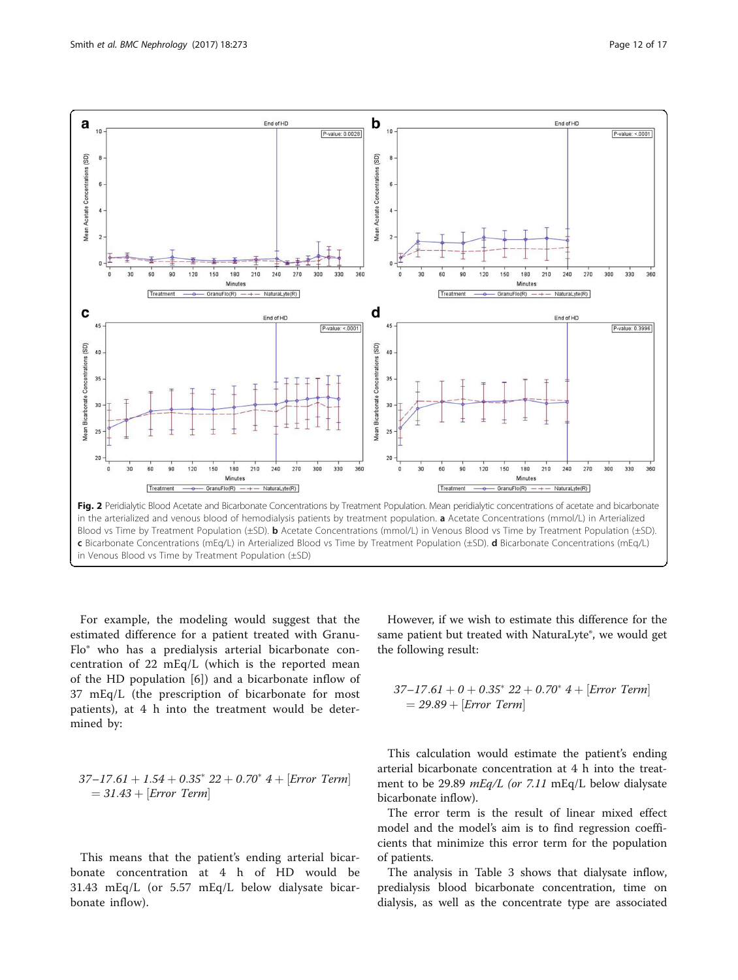<span id="page-11-0"></span>

For example, the modeling would suggest that the estimated difference for a patient treated with Granu-Flo® who has a predialysis arterial bicarbonate concentration of 22 mEq/L (which is the reported mean of the HD population [[6\]](#page-15-0)) and a bicarbonate inflow of 37 mEq/L (the prescription of bicarbonate for most patients), at 4 h into the treatment would be determined by:

$$
37-17.61+1.54+0.35^* \ 22+0.70^* \ 4+[Error\ Term] \\ = 31.43+[Error\ Term]
$$

This means that the patient's ending arterial bicarbonate concentration at 4 h of HD would be 31.43 mEq/L (or 5.57 mEq/L below dialysate bicarbonate inflow).

However, if we wish to estimate this difference for the same patient but treated with NaturaLyte®, we would get the following result:

$$
37-17.61 + 0 + 0.35^* 22 + 0.70^* 4 + [Error Term]
$$
  
= 29.89 + [Error Term]

This calculation would estimate the patient's ending arterial bicarbonate concentration at 4 h into the treatment to be 29.89 mEq/L (or 7.11 mEq/L below dialysate bicarbonate inflow).

The error term is the result of linear mixed effect model and the model's aim is to find regression coefficients that minimize this error term for the population of patients.

The analysis in Table [3](#page-7-0) shows that dialysate inflow, predialysis blood bicarbonate concentration, time on dialysis, as well as the concentrate type are associated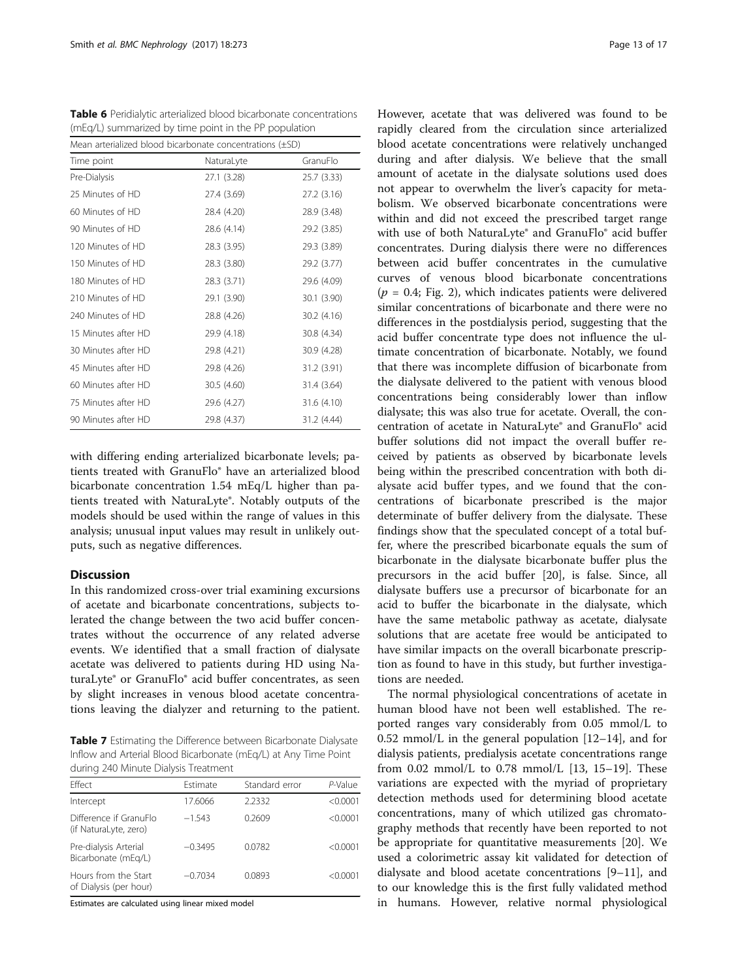<span id="page-12-0"></span>Table 6 Peridialytic arterialized blood bicarbonate concentrations (mEq/L) summarized by time point in the PP population

| Mean arterialized blood bicarbonate concentrations $(\pm SD)$ |             |             |  |  |
|---------------------------------------------------------------|-------------|-------------|--|--|
| Time point                                                    | NaturaLyte  | GranuFlo    |  |  |
| Pre-Dialysis                                                  | 27.1 (3.28) | 25.7 (3.33) |  |  |
| 25 Minutes of HD                                              | 27.4 (3.69) | 27.2(3.16)  |  |  |
| 60 Minutes of HD                                              | 28.4 (4.20) | 28.9 (3.48) |  |  |
| 90 Minutes of HD                                              | 28.6 (4.14) | 29.2 (3.85) |  |  |
| 120 Minutes of HD                                             | 28.3 (3.95) | 29.3 (3.89) |  |  |
| 150 Minutes of HD                                             | 28.3 (3.80) | 29.2 (3.77) |  |  |
| 180 Minutes of HD                                             | 28.3 (3.71) | 29.6 (4.09) |  |  |
| 210 Minutes of HD                                             | 29.1 (3.90) | 30.1 (3.90) |  |  |
| 240 Minutes of HD                                             | 28.8 (4.26) | 30.2(4.16)  |  |  |
| 15 Minutes after HD                                           | 29.9 (4.18) | 30.8 (4.34) |  |  |
| 30 Minutes after HD                                           | 29.8 (4.21) | 30.9 (4.28) |  |  |
| 45 Minutes after HD                                           | 29.8 (4.26) | 31.2 (3.91) |  |  |
| 60 Minutes after HD                                           | 30.5 (4.60) | 31.4 (3.64) |  |  |
| 75 Minutes after HD                                           | 29.6 (4.27) | 31.6 (4.10) |  |  |
| 90 Minutes after HD                                           | 29.8 (4.37) | 31.2 (4.44) |  |  |

with differing ending arterialized bicarbonate levels; patients treated with GranuFlo® have an arterialized blood bicarbonate concentration 1.54 mEq/L higher than patients treated with NaturaLyte®. Notably outputs of the models should be used within the range of values in this analysis; unusual input values may result in unlikely outputs, such as negative differences.

## **Discussion**

In this randomized cross-over trial examining excursions of acetate and bicarbonate concentrations, subjects tolerated the change between the two acid buffer concentrates without the occurrence of any related adverse events. We identified that a small fraction of dialysate acetate was delivered to patients during HD using NaturaLyte® or GranuFlo® acid buffer concentrates, as seen by slight increases in venous blood acetate concentrations leaving the dialyzer and returning to the patient.

Table 7 Estimating the Difference between Bicarbonate Dialysate Inflow and Arterial Blood Bicarbonate (mEq/L) at Any Time Point during 240 Minute Dialysis Treatment

| <b>Fffect</b>                                   | Estimate  | Standard error | P-Value  |
|-------------------------------------------------|-----------|----------------|----------|
| Intercept                                       | 17.6066   | 2.2332         | < 0.0001 |
| Difference if GranuFlo<br>(if NaturaLyte, zero) | $-1.543$  | 0.2609         | < 0.0001 |
| Pre-dialysis Arterial<br>Bicarbonate (mEg/L)    | $-0.3495$ | 0.0782         | < 0.0001 |
| Hours from the Start<br>of Dialysis (per hour)  | $-0.7034$ | 0.0893         | < 0.0001 |

Estimates are calculated using linear mixed model

However, acetate that was delivered was found to be rapidly cleared from the circulation since arterialized blood acetate concentrations were relatively unchanged during and after dialysis. We believe that the small amount of acetate in the dialysate solutions used does not appear to overwhelm the liver's capacity for metabolism. We observed bicarbonate concentrations were within and did not exceed the prescribed target range with use of both NaturaLyte® and GranuFlo® acid buffer concentrates. During dialysis there were no differences between acid buffer concentrates in the cumulative curves of venous blood bicarbonate concentrations  $(p = 0.4;$  Fig. [2\)](#page-11-0), which indicates patients were delivered similar concentrations of bicarbonate and there were no differences in the postdialysis period, suggesting that the acid buffer concentrate type does not influence the ultimate concentration of bicarbonate. Notably, we found that there was incomplete diffusion of bicarbonate from the dialysate delivered to the patient with venous blood concentrations being considerably lower than inflow dialysate; this was also true for acetate. Overall, the concentration of acetate in NaturaLyte® and GranuFlo® acid buffer solutions did not impact the overall buffer received by patients as observed by bicarbonate levels being within the prescribed concentration with both dialysate acid buffer types, and we found that the concentrations of bicarbonate prescribed is the major determinate of buffer delivery from the dialysate. These findings show that the speculated concept of a total buffer, where the prescribed bicarbonate equals the sum of bicarbonate in the dialysate bicarbonate buffer plus the precursors in the acid buffer [[20\]](#page-16-0), is false. Since, all dialysate buffers use a precursor of bicarbonate for an acid to buffer the bicarbonate in the dialysate, which have the same metabolic pathway as acetate, dialysate solutions that are acetate free would be anticipated to have similar impacts on the overall bicarbonate prescription as found to have in this study, but further investigations are needed.

The normal physiological concentrations of acetate in human blood have not been well established. The reported ranges vary considerably from 0.05 mmol/L to 0.52 mmol/L in the general population  $[12-14]$  $[12-14]$  $[12-14]$  $[12-14]$  $[12-14]$ , and for dialysis patients, predialysis acetate concentrations range from 0.02 mmol/L to 0.78 mmol/L [[13](#page-16-0), [15](#page-16-0)–[19\]](#page-16-0). These variations are expected with the myriad of proprietary detection methods used for determining blood acetate concentrations, many of which utilized gas chromatography methods that recently have been reported to not be appropriate for quantitative measurements [[20\]](#page-16-0). We used a colorimetric assay kit validated for detection of dialysate and blood acetate concentrations [[9](#page-16-0)–[11\]](#page-16-0), and to our knowledge this is the first fully validated method in humans. However, relative normal physiological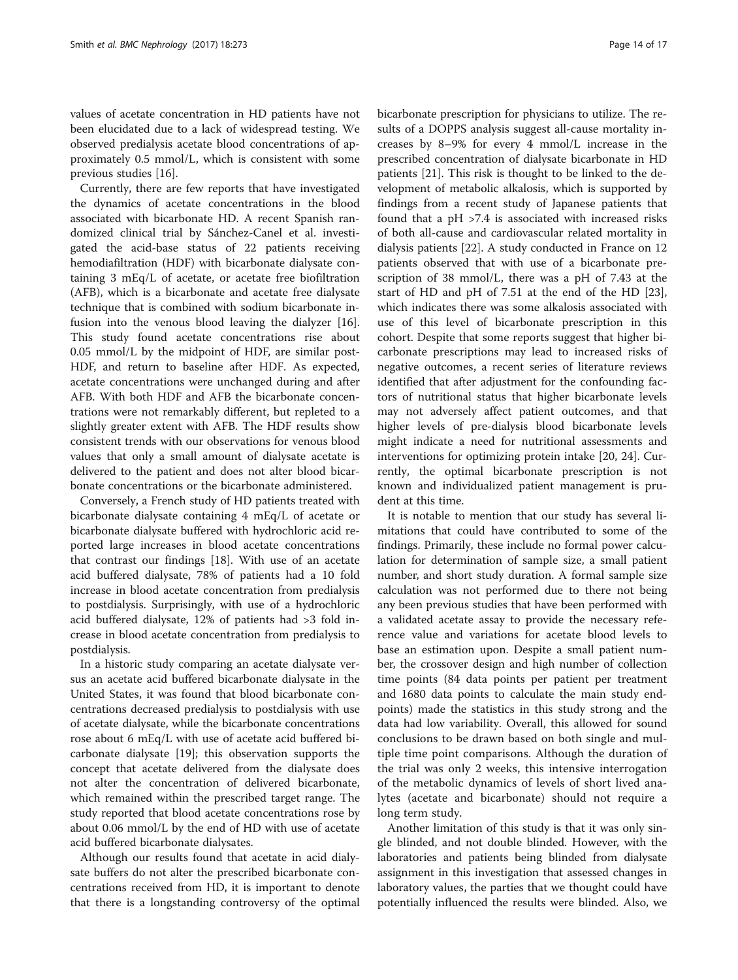values of acetate concentration in HD patients have not been elucidated due to a lack of widespread testing. We observed predialysis acetate blood concentrations of approximately 0.5 mmol/L, which is consistent with some previous studies [[16](#page-16-0)].

Currently, there are few reports that have investigated the dynamics of acetate concentrations in the blood associated with bicarbonate HD. A recent Spanish randomized clinical trial by Sánchez-Canel et al. investigated the acid-base status of 22 patients receiving hemodiafiltration (HDF) with bicarbonate dialysate containing 3 mEq/L of acetate, or acetate free biofiltration (AFB), which is a bicarbonate and acetate free dialysate technique that is combined with sodium bicarbonate infusion into the venous blood leaving the dialyzer [\[16](#page-16-0)]. This study found acetate concentrations rise about 0.05 mmol/L by the midpoint of HDF, are similar post-HDF, and return to baseline after HDF. As expected, acetate concentrations were unchanged during and after AFB. With both HDF and AFB the bicarbonate concentrations were not remarkably different, but repleted to a slightly greater extent with AFB. The HDF results show consistent trends with our observations for venous blood values that only a small amount of dialysate acetate is delivered to the patient and does not alter blood bicarbonate concentrations or the bicarbonate administered.

Conversely, a French study of HD patients treated with bicarbonate dialysate containing 4 mEq/L of acetate or bicarbonate dialysate buffered with hydrochloric acid reported large increases in blood acetate concentrations that contrast our findings [\[18\]](#page-16-0). With use of an acetate acid buffered dialysate, 78% of patients had a 10 fold increase in blood acetate concentration from predialysis to postdialysis. Surprisingly, with use of a hydrochloric acid buffered dialysate, 12% of patients had >3 fold increase in blood acetate concentration from predialysis to postdialysis.

In a historic study comparing an acetate dialysate versus an acetate acid buffered bicarbonate dialysate in the United States, it was found that blood bicarbonate concentrations decreased predialysis to postdialysis with use of acetate dialysate, while the bicarbonate concentrations rose about 6 mEq/L with use of acetate acid buffered bicarbonate dialysate [[19\]](#page-16-0); this observation supports the concept that acetate delivered from the dialysate does not alter the concentration of delivered bicarbonate, which remained within the prescribed target range. The study reported that blood acetate concentrations rose by about 0.06 mmol/L by the end of HD with use of acetate acid buffered bicarbonate dialysates.

Although our results found that acetate in acid dialysate buffers do not alter the prescribed bicarbonate concentrations received from HD, it is important to denote that there is a longstanding controversy of the optimal bicarbonate prescription for physicians to utilize. The results of a DOPPS analysis suggest all-cause mortality increases by 8–9% for every 4 mmol/L increase in the prescribed concentration of dialysate bicarbonate in HD patients [\[21](#page-16-0)]. This risk is thought to be linked to the development of metabolic alkalosis, which is supported by findings from a recent study of Japanese patients that found that a pH >7.4 is associated with increased risks of both all-cause and cardiovascular related mortality in dialysis patients [\[22](#page-16-0)]. A study conducted in France on 12 patients observed that with use of a bicarbonate prescription of 38 mmol/L, there was a pH of 7.43 at the start of HD and pH of 7.51 at the end of the HD [\[23](#page-16-0)], which indicates there was some alkalosis associated with use of this level of bicarbonate prescription in this cohort. Despite that some reports suggest that higher bicarbonate prescriptions may lead to increased risks of negative outcomes, a recent series of literature reviews identified that after adjustment for the confounding factors of nutritional status that higher bicarbonate levels may not adversely affect patient outcomes, and that higher levels of pre-dialysis blood bicarbonate levels might indicate a need for nutritional assessments and interventions for optimizing protein intake [\[20](#page-16-0), [24](#page-16-0)]. Currently, the optimal bicarbonate prescription is not known and individualized patient management is prudent at this time.

It is notable to mention that our study has several limitations that could have contributed to some of the findings. Primarily, these include no formal power calculation for determination of sample size, a small patient number, and short study duration. A formal sample size calculation was not performed due to there not being any been previous studies that have been performed with a validated acetate assay to provide the necessary reference value and variations for acetate blood levels to base an estimation upon. Despite a small patient number, the crossover design and high number of collection time points (84 data points per patient per treatment and 1680 data points to calculate the main study endpoints) made the statistics in this study strong and the data had low variability. Overall, this allowed for sound conclusions to be drawn based on both single and multiple time point comparisons. Although the duration of the trial was only 2 weeks, this intensive interrogation of the metabolic dynamics of levels of short lived analytes (acetate and bicarbonate) should not require a long term study.

Another limitation of this study is that it was only single blinded, and not double blinded. However, with the laboratories and patients being blinded from dialysate assignment in this investigation that assessed changes in laboratory values, the parties that we thought could have potentially influenced the results were blinded. Also, we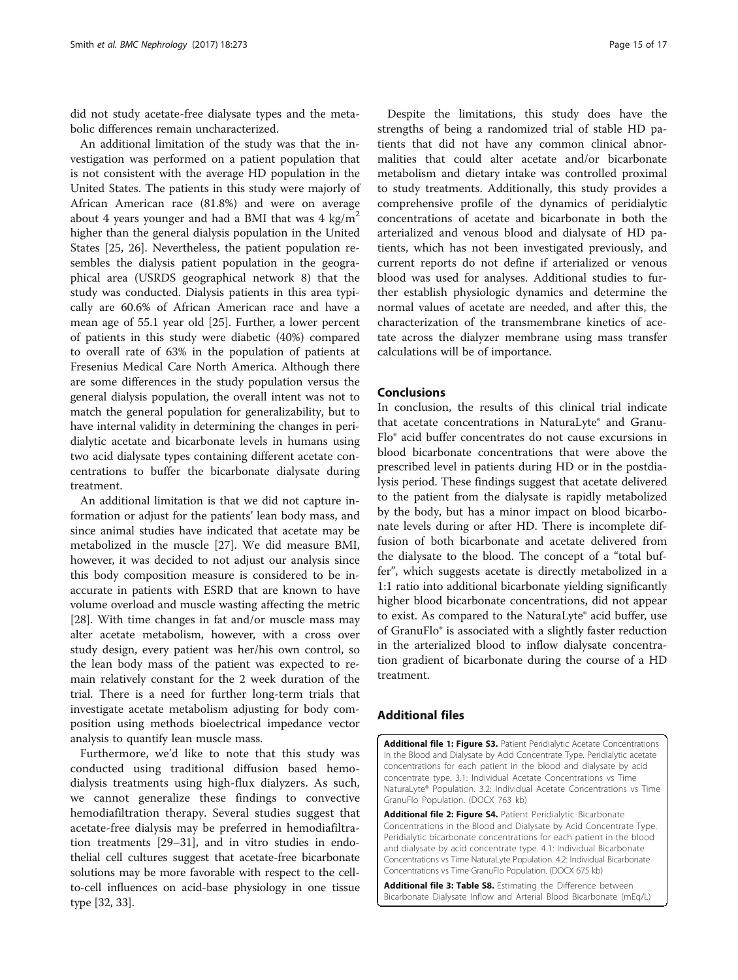<span id="page-14-0"></span>did not study acetate-free dialysate types and the metabolic differences remain uncharacterized.

An additional limitation of the study was that the investigation was performed on a patient population that is not consistent with the average HD population in the United States. The patients in this study were majorly of African American race (81.8%) and were on average about 4 years younger and had a BMI that was 4 kg/m<sup>2</sup> higher than the general dialysis population in the United States [[25, 26\]](#page-16-0). Nevertheless, the patient population resembles the dialysis patient population in the geographical area (USRDS geographical network 8) that the study was conducted. Dialysis patients in this area typically are 60.6% of African American race and have a mean age of 55.1 year old [\[25](#page-16-0)]. Further, a lower percent of patients in this study were diabetic (40%) compared to overall rate of 63% in the population of patients at Fresenius Medical Care North America. Although there are some differences in the study population versus the general dialysis population, the overall intent was not to match the general population for generalizability, but to have internal validity in determining the changes in peridialytic acetate and bicarbonate levels in humans using two acid dialysate types containing different acetate concentrations to buffer the bicarbonate dialysate during treatment.

An additional limitation is that we did not capture information or adjust for the patients' lean body mass, and since animal studies have indicated that acetate may be metabolized in the muscle [\[27\]](#page-16-0). We did measure BMI, however, it was decided to not adjust our analysis since this body composition measure is considered to be inaccurate in patients with ESRD that are known to have volume overload and muscle wasting affecting the metric [[28\]](#page-16-0). With time changes in fat and/or muscle mass may alter acetate metabolism, however, with a cross over study design, every patient was her/his own control, so the lean body mass of the patient was expected to remain relatively constant for the 2 week duration of the trial. There is a need for further long-term trials that investigate acetate metabolism adjusting for body composition using methods bioelectrical impedance vector analysis to quantify lean muscle mass.

Furthermore, we'd like to note that this study was conducted using traditional diffusion based hemodialysis treatments using high-flux dialyzers. As such, we cannot generalize these findings to convective hemodiafiltration therapy. Several studies suggest that acetate-free dialysis may be preferred in hemodiafiltration treatments [[29](#page-16-0)–[31\]](#page-16-0), and in vitro studies in endothelial cell cultures suggest that acetate-free bicarbonate solutions may be more favorable with respect to the cellto-cell influences on acid-base physiology in one tissue type [\[32, 33](#page-16-0)].

Despite the limitations, this study does have the strengths of being a randomized trial of stable HD patients that did not have any common clinical abnormalities that could alter acetate and/or bicarbonate metabolism and dietary intake was controlled proximal to study treatments. Additionally, this study provides a comprehensive profile of the dynamics of peridialytic concentrations of acetate and bicarbonate in both the arterialized and venous blood and dialysate of HD patients, which has not been investigated previously, and current reports do not define if arterialized or venous blood was used for analyses. Additional studies to further establish physiologic dynamics and determine the normal values of acetate are needed, and after this, the characterization of the transmembrane kinetics of acetate across the dialyzer membrane using mass transfer calculations will be of importance.

## Conclusions

In conclusion, the results of this clinical trial indicate that acetate concentrations in NaturaLyte® and Granu-Flo® acid buffer concentrates do not cause excursions in blood bicarbonate concentrations that were above the prescribed level in patients during HD or in the postdialysis period. These findings suggest that acetate delivered to the patient from the dialysate is rapidly metabolized by the body, but has a minor impact on blood bicarbonate levels during or after HD. There is incomplete diffusion of both bicarbonate and acetate delivered from the dialysate to the blood. The concept of a "total buffer", which suggests acetate is directly metabolized in a 1:1 ratio into additional bicarbonate yielding significantly higher blood bicarbonate concentrations, did not appear to exist. As compared to the NaturaLyte® acid buffer, use of GranuFlo® is associated with a slightly faster reduction in the arterialized blood to inflow dialysate concentration gradient of bicarbonate during the course of a HD treatment.

## Additional files

[Additional file 1: Figure S3.](dx.doi.org/10.1186/s12882-017-0683-6) Patient Peridialytic Acetate Concentrations in the Blood and Dialysate by Acid Concentrate Type. Peridialytic acetate concentrations for each patient in the blood and dialysate by acid concentrate type. 3.1: Individual Acetate Concentrations vs Time NaturaLyte® Population. 3.2: Individual Acetate Concentrations vs Time GranuFlo Population. (DOCX 763 kb)

[Additional file 2: Figure S4.](dx.doi.org/10.1186/s12882-017-0683-6) Patient Peridialytic Bicarbonate Concentrations in the Blood and Dialysate by Acid Concentrate Type. Peridialytic bicarbonate concentrations for each patient in the blood and dialysate by acid concentrate type. 4.1: Individual Bicarbonate Concentrations vs Time NaturaLyte Population. 4.2: Individual Bicarbonate Concentrations vs Time GranuFlo Population. (DOCX 675 kb)

[Additional file 3: Table S8.](dx.doi.org/10.1186/s12882-017-0683-6) Estimating the Difference between Bicarbonate Dialysate Inflow and Arterial Blood Bicarbonate (mEq/L)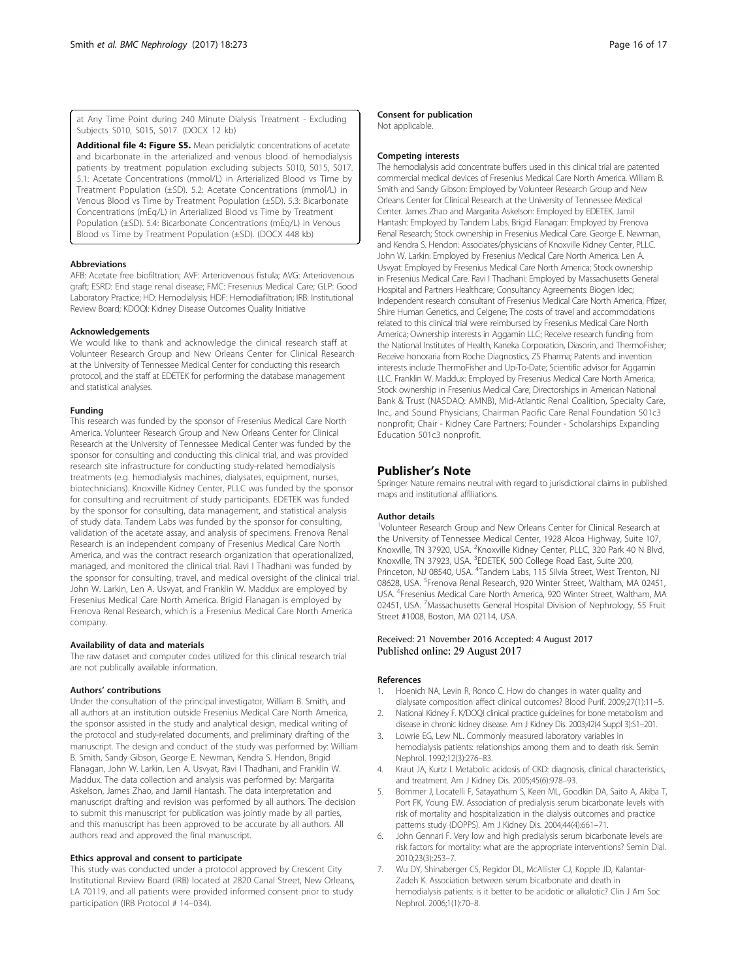<span id="page-15-0"></span>[Additional file 4: Figure S5.](dx.doi.org/10.1186/s12882-017-0683-6) Mean peridialytic concentrations of acetate and bicarbonate in the arterialized and venous blood of hemodialysis patients by treatment population excluding subjects S010, S015, S017. 5.1: Acetate Concentrations (mmol/L) in Arterialized Blood vs Time by Treatment Population (±SD). 5.2: Acetate Concentrations (mmol/L) in Venous Blood vs Time by Treatment Population (±SD). 5.3: Bicarbonate Concentrations (mEq/L) in Arterialized Blood vs Time by Treatment Population (±SD). 5.4: Bicarbonate Concentrations (mEq/L) in Venous Blood vs Time by Treatment Population (±SD). (DOCX 448 kb)

#### Abbreviations

AFB: Acetate free biofiltration; AVF: Arteriovenous fistula; AVG: Arteriovenous graft; ESRD: End stage renal disease; FMC: Fresenius Medical Care; GLP: Good Laboratory Practice; HD: Hemodialysis; HDF: Hemodiafiltration; IRB: Institutional Review Board; KDOQI: Kidney Disease Outcomes Quality Initiative

#### Acknowledgements

We would like to thank and acknowledge the clinical research staff at Volunteer Research Group and New Orleans Center for Clinical Research at the University of Tennessee Medical Center for conducting this research protocol, and the staff at EDETEK for performing the database management and statistical analyses.

#### Funding

This research was funded by the sponsor of Fresenius Medical Care North America. Volunteer Research Group and New Orleans Center for Clinical Research at the University of Tennessee Medical Center was funded by the sponsor for consulting and conducting this clinical trial, and was provided research site infrastructure for conducting study-related hemodialysis treatments (e.g. hemodialysis machines, dialysates, equipment, nurses, biotechnicians). Knoxville Kidney Center, PLLC was funded by the sponsor for consulting and recruitment of study participants. EDETEK was funded by the sponsor for consulting, data management, and statistical analysis of study data. Tandem Labs was funded by the sponsor for consulting, validation of the acetate assay, and analysis of specimens. Frenova Renal Research is an independent company of Fresenius Medical Care North America, and was the contract research organization that operationalized, managed, and monitored the clinical trial. Ravi I Thadhani was funded by the sponsor for consulting, travel, and medical oversight of the clinical trial. John W. Larkin, Len A. Usvyat, and Franklin W. Maddux are employed by Fresenius Medical Care North America. Brigid Flanagan is employed by Frenova Renal Research, which is a Fresenius Medical Care North America company.

## Availability of data and materials

The raw dataset and computer codes utilized for this clinical research trial are not publically available information.

#### Authors' contributions

Under the consultation of the principal investigator, William B. Smith, and all authors at an institution outside Fresenius Medical Care North America, the sponsor assisted in the study and analytical design, medical writing of the protocol and study-related documents, and preliminary drafting of the manuscript. The design and conduct of the study was performed by: William B. Smith, Sandy Gibson, George E. Newman, Kendra S. Hendon, Brigid Flanagan, John W. Larkin, Len A. Usvyat, Ravi I Thadhani, and Franklin W. Maddux. The data collection and analysis was performed by: Margarita Askelson, James Zhao, and Jamil Hantash. The data interpretation and manuscript drafting and revision was performed by all authors. The decision to submit this manuscript for publication was jointly made by all parties, and this manuscript has been approved to be accurate by all authors. All authors read and approved the final manuscript.

#### Ethics approval and consent to participate

This study was conducted under a protocol approved by Crescent City Institutional Review Board (IRB) located at 2820 Canal Street, New Orleans, LA 70119, and all patients were provided informed consent prior to study participation (IRB Protocol # 14–034).

### Consent for publication

Not applicable.

#### Competing interests

The hemodialysis acid concentrate buffers used in this clinical trial are patented commercial medical devices of Fresenius Medical Care North America. William B. Smith and Sandy Gibson: Employed by Volunteer Research Group and New Orleans Center for Clinical Research at the University of Tennessee Medical Center. James Zhao and Margarita Askelson: Employed by EDETEK. Jamil Hantash: Employed by Tandem Labs. Brigid Flanagan: Employed by Frenova Renal Research; Stock ownership in Fresenius Medical Care. George E. Newman, and Kendra S. Hendon: Associates/physicians of Knoxville Kidney Center, PLLC. John W. Larkin: Employed by Fresenius Medical Care North America. Len A. Usvyat: Employed by Fresenius Medical Care North America; Stock ownership in Fresenius Medical Care. Ravi I Thadhani: Employed by Massachusetts General Hospital and Partners Healthcare; Consultancy Agreements: Biogen Idec; Independent research consultant of Fresenius Medical Care North America, Pfizer, Shire Human Genetics, and Celgene; The costs of travel and accommodations related to this clinical trial were reimbursed by Fresenius Medical Care North America; Ownership interests in Aggamin LLC; Receive research funding from the National Institutes of Health, Kaneka Corporation, Diasorin, and ThermoFisher; Receive honoraria from Roche Diagnostics, ZS Pharma; Patents and invention interests include ThermoFisher and Up-To-Date; Scientific advisor for Aggamin LLC. Franklin W. Maddux: Employed by Fresenius Medical Care North America; Stock ownership in Fresenius Medical Care; Directorships in American National Bank & Trust (NASDAQ: AMNB), Mid-Atlantic Renal Coalition, Specialty Care, Inc., and Sound Physicians; Chairman Pacific Care Renal Foundation 501c3 nonprofit; Chair - Kidney Care Partners; Founder - Scholarships Expanding Education 501c3 nonprofit.

### Publisher's Note

Springer Nature remains neutral with regard to jurisdictional claims in published maps and institutional affiliations.

#### Author details

<sup>1</sup>Volunteer Research Group and New Orleans Center for Clinical Research at the University of Tennessee Medical Center, 1928 Alcoa Highway, Suite 107, Knoxville, TN 37920, USA. <sup>2</sup>Knoxville Kidney Center, PLLC, 320 Park 40 N Blvd Knoxville, TN 37923, USA. <sup>3</sup>EDETEK, 500 College Road East, Suite 200, Princeton, NJ 08540, USA. <sup>4</sup>Tandem Labs, 115 Silvia Street, West Trenton, NJ 08628, USA. <sup>5</sup> Frenova Renal Research, 920 Winter Street, Waltham, MA 02451 USA. <sup>6</sup>Fresenius Medical Care North America, 920 Winter Street, Waltham, MA 02451, USA. <sup>7</sup>Massachusetts General Hospital Division of Nephrology, 55 Fruit Street #1008, Boston, MA 02114, USA.

# Received: 21 November 2016 Accepted: 4 August 2017

#### References

- 1. Hoenich NA, Levin R, Ronco C. How do changes in water quality and dialysate composition affect clinical outcomes? Blood Purif. 2009;27(1):11–5.
- 2. National Kidney F. K/DOQI clinical practice quidelines for bone metabolism and disease in chronic kidney disease. Am J Kidney Dis. 2003;42(4 Suppl 3):S1–201.
- 3. Lowrie EG, Lew NL. Commonly measured laboratory variables in hemodialysis patients: relationships among them and to death risk. Semin Nephrol. 1992;12(3):276–83.
- Kraut JA, Kurtz I. Metabolic acidosis of CKD: diagnosis, clinical characteristics, and treatment. Am J Kidney Dis. 2005;45(6):978–93.
- 5. Bommer J, Locatelli F, Satayathum S, Keen ML, Goodkin DA, Saito A, Akiba T, Port FK, Young EW. Association of predialysis serum bicarbonate levels with risk of mortality and hospitalization in the dialysis outcomes and practice patterns study (DOPPS). Am J Kidney Dis. 2004;44(4):661–71.
- 6. John Gennari F. Very low and high predialysis serum bicarbonate levels are risk factors for mortality: what are the appropriate interventions? Semin Dial. 2010;23(3):253–7.
- 7. Wu DY, Shinaberger CS, Regidor DL, McAllister CJ, Kopple JD, Kalantar-Zadeh K. Association between serum bicarbonate and death in hemodialysis patients: is it better to be acidotic or alkalotic? Clin J Am Soc Nephrol. 2006;1(1):70–8.